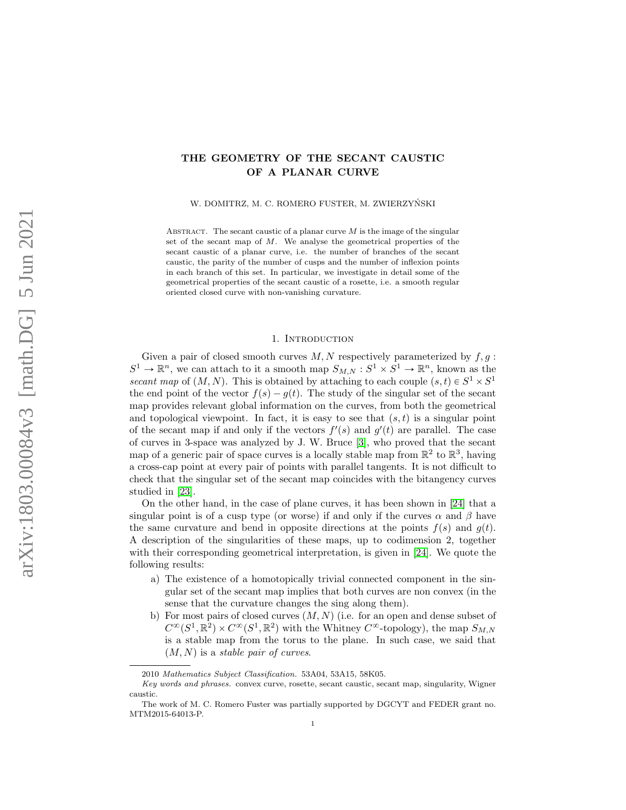# THE GEOMETRY OF THE SECANT CAUSTIC OF A PLANAR CURVE

W. DOMITRZ, M. C. ROMERO FUSTER, M. ZWIERZYŃSKI

ABSTRACT. The secant caustic of a planar curve  $M$  is the image of the singular set of the secant map of  $M$ . We analyse the geometrical properties of the secant caustic of a planar curve, i.e. the number of branches of the secant caustic, the parity of the number of cusps and the number of inflexion points in each branch of this set. In particular, we investigate in detail some of the geometrical properties of the secant caustic of a rosette, i.e. a smooth regular oriented closed curve with non-vanishing curvature.

## 1. INTRODUCTION

Given a pair of closed smooth curves  $M, N$  respectively parameterized by  $f, g$ :  $S^1 \to \mathbb{R}^n$ , we can attach to it a smooth map  $S_{M,N} : S^1 \times S^1 \to \mathbb{R}^n$ , known as the secant map of  $(M, N)$ . This is obtained by attaching to each couple  $(s, t) \in S^1 \times S^1$ the end point of the vector  $f(s) - g(t)$ . The study of the singular set of the secant map provides relevant global information on the curves, from both the geometrical and topological viewpoint. In fact, it is easy to see that  $(s, t)$  is a singular point of the secant map if and only if the vectors  $f'(s)$  and  $g'(t)$  are parallel. The case of curves in 3-space was analyzed by J. W. Bruce [\[3\]](#page-21-0), who proved that the secant map of a generic pair of space curves is a locally stable map from  $\mathbb{R}^2$  to  $\mathbb{R}^3$ , having a cross-cap point at every pair of points with parallel tangents. It is not difficult to check that the singular set of the secant map coincides with the bitangency curves studied in [\[23\]](#page-22-0).

On the other hand, in the case of plane curves, it has been shown in [\[24\]](#page-22-1) that a singular point is of a cusp type (or worse) if and only if the curves  $\alpha$  and  $\beta$  have the same curvature and bend in opposite directions at the points  $f(s)$  and  $g(t)$ . A description of the singularities of these maps, up to codimension 2, together with their corresponding geometrical interpretation, is given in [\[24\]](#page-22-1). We quote the following results:

- a) The existence of a homotopically trivial connected component in the singular set of the secant map implies that both curves are non convex (in the sense that the curvature changes the sing along them).
- b) For most pairs of closed curves  $(M, N)$  (i.e. for an open and dense subset of  $C^{\infty}(S^1,\mathbb{R}^2) \times C^{\infty}(S^1,\mathbb{R}^2)$  with the Whitney  $C^{\infty}$ -topology), the map  $S_{M,N}$ is a stable map from the torus to the plane. In such case, we said that  $(M, N)$  is a *stable pair of curves*.

<sup>2010</sup> Mathematics Subject Classification. 53A04, 53A15, 58K05.

Key words and phrases. convex curve, rosette, secant caustic, secant map, singularity, Wigner caustic.

The work of M. C. Romero Fuster was partially supported by DGCYT and FEDER grant no. MTM2015-64013-P.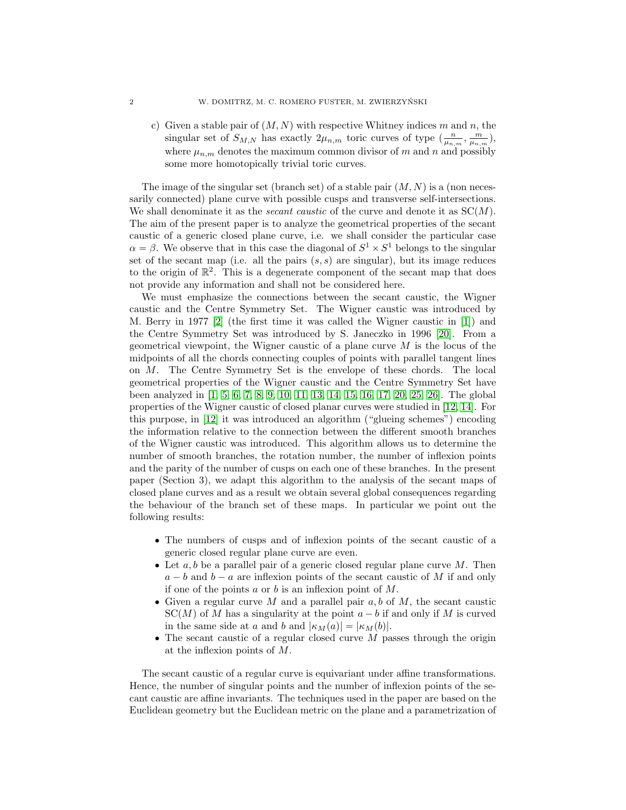c) Given a stable pair of  $(M, N)$  with respective Whitney indices m and n, the singular set of  $S_{M,N}$  has exactly  $2\mu_{n,m}$  toric curves of type  $(\frac{n}{\mu_{n,m}}, \frac{m}{\mu_{n,m}})$ , where  $\mu_{n,m}$  denotes the maximum common divisor of m and n and possibly some more homotopically trivial toric curves.

The image of the singular set (branch set) of a stable pair  $(M, N)$  is a (non necessarily connected) plane curve with possible cusps and transverse self-intersections. We shall denominate it as the *secant caustic* of the curve and denote it as  $SC(M)$ . The aim of the present paper is to analyze the geometrical properties of the secant caustic of a generic closed plane curve, i.e. we shall consider the particular case  $\alpha = \beta$ . We observe that in this case the diagonal of  $S^1 \times S^1$  belongs to the singular set of the secant map (i.e. all the pairs  $(s, s)$  are singular), but its image reduces to the origin of  $\mathbb{R}^2$ . This is a degenerate component of the secant map that does not provide any information and shall not be considered here.

We must emphasize the connections between the secant caustic, the Wigner caustic and the Centre Symmetry Set. The Wigner caustic was introduced by M. Berry in 1977 [\[2\]](#page-21-1) (the first time it was called the Wigner caustic in [\[1\]](#page-21-2)) and the Centre Symmetry Set was introduced by S. Janeczko in 1996 [\[20\]](#page-22-2). From a geometrical viewpoint, the Wigner caustic of a plane curve  $M$  is the locus of the midpoints of all the chords connecting couples of points with parallel tangent lines on M. The Centre Symmetry Set is the envelope of these chords. The local geometrical properties of the Wigner caustic and the Centre Symmetry Set have been analyzed in [\[1,](#page-21-2) [5,](#page-21-3) [6,](#page-21-4) [7,](#page-21-5) [8,](#page-21-6) [9,](#page-21-7) [10,](#page-21-8) [11,](#page-21-9) [13,](#page-21-10) [14,](#page-21-11) [15,](#page-21-12) [16,](#page-21-13) [17,](#page-21-14) [20,](#page-22-2) [25,](#page-22-3) [26\]](#page-22-4). The global properties of the Wigner caustic of closed planar curves were studied in [\[12,](#page-21-15) [14\]](#page-21-11). For this purpose, in [\[12\]](#page-21-15) it was introduced an algorithm ("glueing schemes") encoding the information relative to the connection between the different smooth branches of the Wigner caustic was introduced. This algorithm allows us to determine the number of smooth branches, the rotation number, the number of inflexion points and the parity of the number of cusps on each one of these branches. In the present paper (Section 3), we adapt this algorithm to the analysis of the secant maps of closed plane curves and as a result we obtain several global consequences regarding the behaviour of the branch set of these maps. In particular we point out the following results:

- ' The numbers of cusps and of inflexion points of the secant caustic of a generic closed regular plane curve are even.
- $\bullet$  Let  $a, b$  be a parallel pair of a generic closed regular plane curve M. Then  $a - b$  and  $b - a$  are inflexion points of the secant caustic of M if and only if one of the points  $a$  or  $b$  is an inflexion point of  $M$ .
- Given a regular curve M and a parallel pair  $a, b$  of M, the secant caustic  $SC(M)$  of M has a singularity at the point  $a - b$  if and only if M is curved in the same side at a and b and  $|\kappa_M(a)| = |\kappa_M(b)|$ .
- $\bullet$  The secant caustic of a regular closed curve M passes through the origin at the inflexion points of M.

The secant caustic of a regular curve is equivariant under affine transformations. Hence, the number of singular points and the number of inflexion points of the secant caustic are affine invariants. The techniques used in the paper are based on the Euclidean geometry but the Euclidean metric on the plane and a parametrization of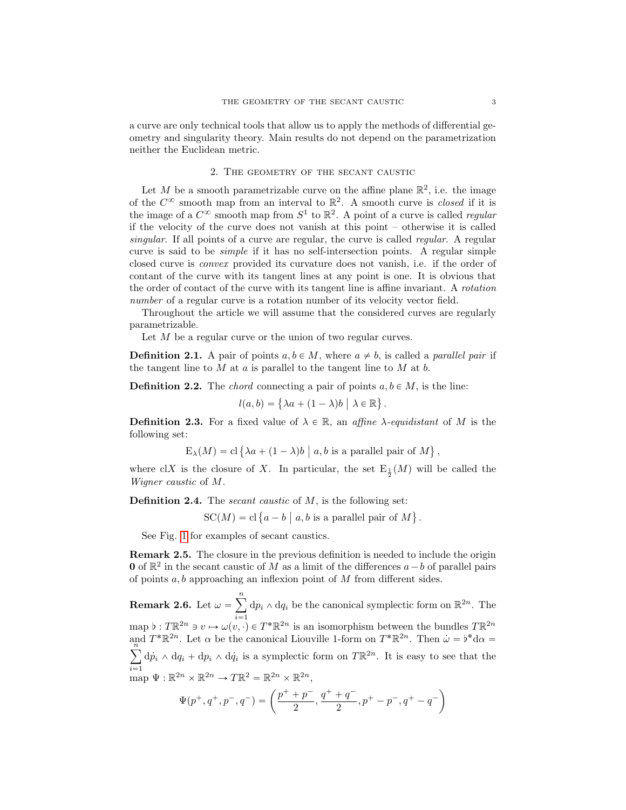a curve are only technical tools that allow us to apply the methods of differential geometry and singularity theory. Main results do not depend on the parametrization neither the Euclidean metric.

## 2. The geometry of the secant caustic

Let M be a smooth parametrizable curve on the affine plane  $\mathbb{R}^2$ , i.e. the image of the  $C^{\infty}$  smooth map from an interval to  $\mathbb{R}^2$ . A smooth curve is *closed* if it is the image of a  $C^{\infty}$  smooth map from  $S^1$  to  $\mathbb{R}^2$ . A point of a curve is called *regular* if the velocity of the curve does not vanish at this point – otherwise it is called singular. If all points of a curve are regular, the curve is called *regular*. A regular curve is said to be simple if it has no self-intersection points. A regular simple closed curve is convex provided its curvature does not vanish, i.e. if the order of contant of the curve with its tangent lines at any point is one. It is obvious that the order of contact of the curve with its tangent line is affine invariant. A rotation number of a regular curve is a rotation number of its velocity vector field.

Throughout the article we will assume that the considered curves are regularly parametrizable.

Let M be a regular curve or the union of two regular curves.

**Definition 2.1.** A pair of points  $a, b \in M$ , where  $a \neq b$ , is called a *parallel pair* if the tangent line to  $M$  at  $a$  is parallel to the tangent line to  $M$  at  $b$ .

**Definition 2.2.** The *chord* connecting a pair of points  $a, b \in M$ , is the line:<br> $l(a, b) = \{\lambda a + (1 - \lambda)b \mid \lambda \in \mathbb{R}\}.$ 

$$
l(a,b) = \{\lambda a + (1-\lambda)b \mid \lambda \in \mathbb{R}\}.
$$

**Definition 2.3.** For a fixed value of  $\lambda \in \mathbb{R}$ , an affine  $\lambda$ -equidistant of M is the following set:

$$
E_{\lambda}(M) = cl \{\lambda a + (1 - \lambda)b \mid a, b \text{ is a parallel pair of } M \},\
$$

where clX is the closure of X. In particular, the set  $E_{\frac{1}{2}}(M)$  will be called the Wigner caustic of M.

**Definition 2.4.** The *secant caustic* of  $M$ , is the following set:

SC(M) = cl {a - b | a, b is a parallel pair of M} .

See Fig. [1](#page-3-0) for examples of secant caustics.

Remark 2.5. The closure in the previous definition is needed to include the origin **0** of  $\mathbb{R}^2$  in the secant caustic of M as a limit of the differences  $a - b$  of parallel pairs of points  $a, b$  approaching an inflexion point of  $M$  from different sides.

Remark 2.6. Let  $\omega =$  $\boldsymbol{n}$ map  $\flat : T\mathbb{R}^{2n} \ni v \mapsto \omega(v, \cdot) \in T^*\mathbb{R}^{2n}$  is an isomorphism between the bundles  $T\mathbb{R}^{2n}$  $dp_i \wedge dq_i$  be the canonical symplectic form on  $\mathbb{R}^{2n}$ . The and  $T^*\mathbb{R}^{2n}$ . Let  $\alpha$  be the canonical Liouville 1-form on  $T^*\mathbb{R}^{2n}$ . Then  $\dot{\omega} = \dot{v}^*d\alpha = \dot{v}$  $i=1$  $d\dot{p}_i \wedge dq_i + dp_i \wedge d\dot{q}_i$  is a symplectic form on  $T\mathbb{R}^{2n}$ . It is easy to see that the

map 
$$
\Psi : \mathbb{R}^{2n} \times \mathbb{R}^{2n} \to T\mathbb{R}^2 = \mathbb{R}^{2n} \times \mathbb{R}^{2n}
$$
,  

$$
\Psi(p^+, q^+, p^-, q^-) = \left(\frac{p^+ + p^-}{2}, \frac{q^+ + q^-}{2}, p^+ - p^-, q^+ - q^-\right)
$$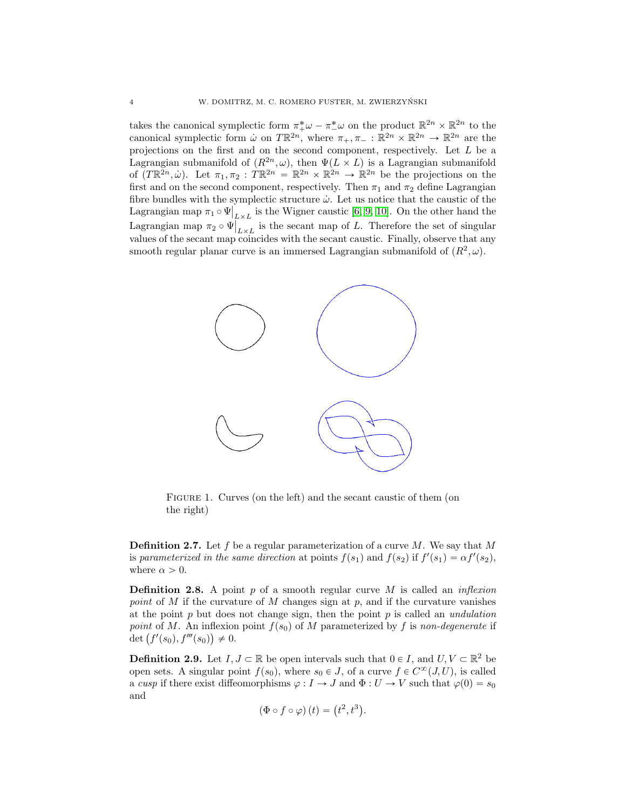takes the canonical symplectic form  $\pi^*_{+}\omega - \pi^*_{-}\omega$  on the product  $\mathbb{R}^{2n} \times \mathbb{R}^{2n}$  to the canonical symplectic form  $\omega$  on  $T\mathbb{R}^{2n}$ , where  $\pi_+, \pi_- : \mathbb{R}^{2n} \times \mathbb{R}^{2n} \to \mathbb{R}^{2n}$  are the projections on the first and on the second component, respectively. Let L be a Lagrangian submanifold of  $(R^{2n}, \omega)$ , then  $\Psi(L \times L)$  is a Lagrangian submanifold of  $(T\mathbb{R}^{2n}, \dot{\omega})$ . Let  $\pi_1, \pi_2 : T\mathbb{R}^{2n} = \mathbb{R}^{2n} \times \mathbb{R}^{2n} \to \mathbb{R}^{2n}$  be the projections on the first and on the second component, respectively. Then  $\pi_1$  and  $\pi_2$  define Lagrangian fibre bundles with the symplectic structure  $\dot{\omega}$ . Let us notice that the caustic of the  $\text{Lagrangian map } \pi_1 \circ \Psi$  $_{L\times L}$  is the Wigner caustic [\[6,](#page-21-4) [9,](#page-21-7) [10\]](#page-21-8). On the other hand the Lagrangian map  $\pi_2 \circ \Psi$  $L \times L$  is the secant map of L. Therefore the set of singular values of the secant map coincides with the secant caustic. Finally, observe that any smooth regular planar curve is an immersed Lagrangian submanifold of  $(R^2, \omega)$ .



<span id="page-3-0"></span>FIGURE 1. Curves (on the left) and the secant caustic of them (on the right)

**Definition 2.7.** Let f be a regular parameterization of a curve  $M$ . We say that M is parameterized in the same direction at points  $f(s_1)$  and  $f(s_2)$  if  $f'(s_1) = \alpha f'(s_2)$ , where  $\alpha > 0$ .

<span id="page-3-1"></span>**Definition 2.8.** A point  $p$  of a smooth regular curve  $M$  is called an *inflexion* point of M if the curvature of M changes sign at  $p$ , and if the curvature vanishes at the point  $p$  but does not change sign, then the point  $p$  is called an *undulation* point of M. An inflexion point  $f(s_0)$  of M parameterized by f is non-degenerate if point of M. An inflexion<br>det  $(f'(s_0), f'''(s_0)) \neq 0$ .

**Definition 2.9.** Let  $I, J \subset \mathbb{R}$  be open intervals such that  $0 \in I$ , and  $U, V \subset \mathbb{R}^2$  be open sets. A singular point  $f(s_0)$ , where  $s_0 \in J$ , of a curve  $f \in C^{\infty}(J, U)$ , is called a cusp if there exist diffeomorphisms  $\varphi: I \to J$  and  $\Phi: U \to V$  such that  $\varphi(0) = s_0$ and

$$
(\Phi \circ f \circ \varphi)(t) = (t^2, t^3).
$$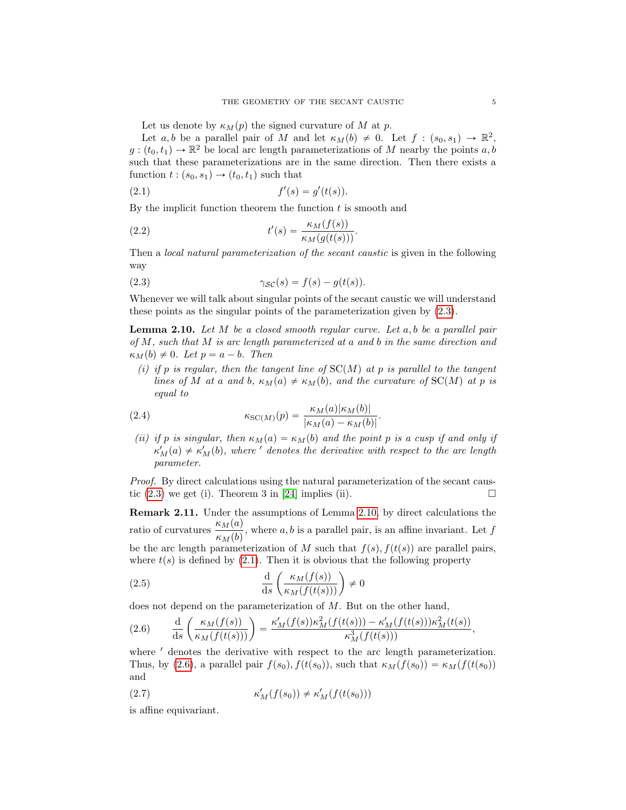Let us denote by  $\kappa_M(p)$  the signed curvature of M at p.

Let a, b be a parallel pair of M and let  $\kappa_M(b) \neq 0$ . Let  $f : (s_0, s_1) \to \mathbb{R}^2$ ,  $g:(t_0, t_1) \to \mathbb{R}^2$  be local arc length parameterizations of M nearby the points  $a, b$ such that these parameterizations are in the same direction. Then there exists a function  $t : (s_0, s_1) \rightarrow (t_0, t_1)$  such that

<span id="page-4-2"></span>(2.1) 
$$
f'(s) = g'(t(s)).
$$

By the implicit function theorem the function  $t$  is smooth and

(2.2) 
$$
t'(s) = \frac{\kappa_M(f(s))}{\kappa_M(g(t(s)))}.
$$

Then a *local natural parameterization of the secant caustic* is given in the following way

<span id="page-4-0"></span>(2.3) 
$$
\gamma_{\mathcal{SC}}(s) = f(s) - g(t(s)).
$$

Whenever we will talk about singular points of the secant caustic we will understand these points as the singular points of the parameterization given by [\(2.3\)](#page-4-0).

<span id="page-4-1"></span>**Lemma 2.10.** Let  $M$  be a closed smooth regular curve. Let  $a, b$  be a parallel pair of M, such that M is arc length parameterized at a and b in the same direction and  $\kappa_M(b) \neq 0$ . Let  $p = a - b$ . Then

(i) if p is regular, then the tangent line of  $SC(M)$  at p is parallel to the tangent lines of M at a and b,  $\kappa_M(a) \neq \kappa_M(b)$ , and the curvature of SC(M) at p is equal to

(2.4) 
$$
\kappa_{\text{SC}(M)}(p) = \frac{\kappa_M(a)|\kappa_M(b)|}{|\kappa_M(a) - \kappa_M(b)|}.
$$

(ii) if p is singular, then  $\kappa_M(a) = \kappa_M(b)$  and the point p is a cusp if and only if  $\kappa_M'(a) \neq \kappa_M'(b)$ , where ' denotes the derivative with respect to the arc length parameter.

Proof. By direct calculations using the natural parameterization of the secant caustic  $(2.3)$  we get (i). Theorem 3 in [\[24\]](#page-22-1) implies (ii).

Remark 2.11. Under the assumptions of Lemma [2.10,](#page-4-1) by direct calculations the ratio of curvatures  $\frac{\kappa_M(a)}{\kappa_M(b)}$ , where a, b is a parallel pair, is an affine invariant. Let f be the arc length parameterization of M such that  $f(s)$ ,  $f(t(s))$  are parallel pairs, where  $t(s)$  is defined by [\(2.1\)](#page-4-2). Then it is obvious that the following property

(2.5) 
$$
\frac{d}{ds} \left( \frac{\kappa_M(f(s))}{\kappa_M(f(t(s)))} \right) \neq 0
$$

does not depend on the parameterization of  $M$ . But on the other hand,

<span id="page-4-3"></span>(2.6) 
$$
\frac{d}{ds} \left( \frac{\kappa_M(f(s))}{\kappa_M(f(t(s)))} \right) = \frac{\kappa'_M(f(s))\kappa_M^2(f(t(s))) - \kappa'_M(f(t(s)))\kappa_M^2(t(s))}{\kappa_M^3(f(t(s)))},
$$

where  $'$  denotes the derivative with respect to the arc length parameterization. Thus, by [\(2.6\)](#page-4-3), a parallel pair  $f(s_0)$ ,  $f(t(s_0))$ , such that  $\kappa_M(f(s_0)) = \kappa_M(f(t(s_0)))$ and

$$
\kappa'_M(f(s_0)) \neq \kappa'_M(f(t(s_0)))
$$

is affine equivariant.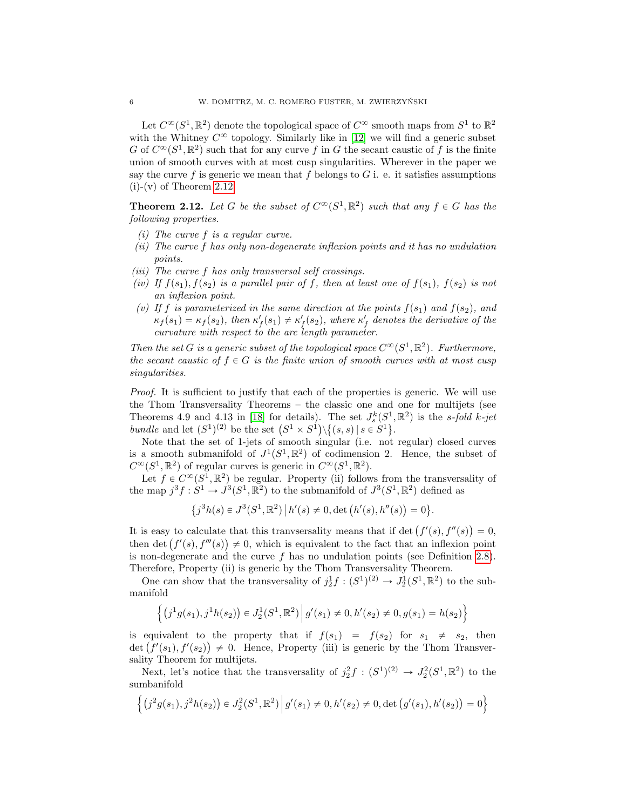Let  $C^{\infty}(S^1,\mathbb{R}^2)$  denote the topological space of  $C^{\infty}$  smooth maps from  $S^1$  to  $\mathbb{R}^2$ with the Whitney  $C^{\infty}$  topology. Similarly like in [\[12\]](#page-21-15) we will find a generic subset G of  $C^{\infty}(S^1,\mathbb{R}^2)$  such that for any curve f in G the secant caustic of f is the finite union of smooth curves with at most cusp singularities. Wherever in the paper we say the curve f is generic we mean that f belongs to  $G$  i. e. it satisfies assumptions  $(i)-(v)$  of Theorem [2.12.](#page-5-0)

<span id="page-5-0"></span>**Theorem 2.12.** Let G be the subset of  $C^{\infty}(S^1,\mathbb{R}^2)$  such that any  $f \in G$  has the following properties.

- (i) The curve f is a regular curve.
- (ii) The curve f has only non-degenerate inflexion points and it has no undulation points.
- (iii) The curve f has only transversal self crossings.
- (iv) If  $f(s_1)$ ,  $f(s_2)$  is a parallel pair of f, then at least one of  $f(s_1)$ ,  $f(s_2)$  is not an inflexion point.
- (v) If f is parameterized in the same direction at the points  $f(s_1)$  and  $f(s_2)$ , and  $\kappa_f(s_1) = \kappa_f(s_2)$ , then  $\kappa'_f(s_1) \neq \kappa'_f(s_2)$ , where  $\kappa'_f$  denotes the derivative of the curvature with respect to the arc length parameter.

Then the set G is a generic subset of the topological space  $C^{\infty}(S^1,\mathbb{R}^2)$ . Furthermore, the secant caustic of  $f \in G$  is the finite union of smooth curves with at most cusp singularities.

Proof. It is sufficient to justify that each of the properties is generic. We will use the Thom Transversality Theorems – the classic one and one for multijets (see Theorems 4.9 and 4.13 in [\[18\]](#page-22-5) for details). The set  $J_s^k(S^1,\mathbb{R}^2)$  is the s-fold k-jet Theorems 4.9 and 4.13 in [18] for details). The set  $J_s^{\kappa}(S^1,$ <br>bundle and let  $(S^1)^{(2)}$  be the set  $(S^1 \times S^1) \setminus \{(s, s) | s \in S^1\}$ .

Note that the set of 1-jets of smooth singular (i.e. not regular) closed curves is a smooth submanifold of  $J^1(S^1,\mathbb{R}^2)$  of codimension 2. Hence, the subset of  $C^{\infty}(S^1,\mathbb{R}^2)$  of regular curves is generic in  $C^{\infty}(S^1,\mathbb{R}^2)$ .

Let  $f \in C^{\infty}(S^1,\mathbb{R}^2)$  be regular. Property (ii) follows from the transversality of the map  $j^3 f : S^1 \to J^3(S^1, \mathbb{R}^2)$  to the submanifold of  $J^3(S^1, \mathbb{R}^2)$  defined as

$$
\{j^3h(s) \in J^3(S^1,\mathbb{R}^2) \, | \, h'(s) \neq 0, \det\big(h'(s),h''(s)\big) = 0\}.
$$

It is easy to calculate that this tranvsersality means that if det  $(f'(s), f''(s)) = 0$ , It is easy to calculate that this transversality means that if det  $(f'(s), f''(s)) = 0$ ,<br>then det  $(f'(s), f'''(s)) \neq 0$ , which is equivalent to the fact that an inflexion point is non-degenerate and the curve  $f$  has no undulation points (see Definition [2.8\)](#page-3-1). Therefore, Property (ii) is generic by the Thom Transversality Theorem.

One can show that the transversality of  $j_2^1 f : (S^1)^{(2)} \to J_2^1(S^1,\mathbb{R}^2)$  to the submanifold

$$
\left\{ \left( j^1 g(s_1), j^1 h(s_2) \right) \in J_2^1(S^1, \mathbb{R}^2) \, \middle| \, g'(s_1) \neq 0, h'(s_2) \neq 0, g(s_1) = h(s_2) \right\}
$$

is equivalent to the property that if  $f(s_1) = f(s_2)$  for  $s_1 \neq s_2$ , then is equivalent to the property that if  $f(s_1) = f(s_2)$  for  $s_1 \neq s_2$ , then det  $(f'(s_1), f'(s_2)) \neq 0$ . Hence, Property (iii) is generic by the Thom Transversality Theorem for multijets.

Next, let's notice that the transversality of  $j_2^2 f : (S^1)^{(2)} \to J_2^2(S^1,\mathbb{R}^2)$  to the sumbanifold )

$$
\left\{ \left( j^{2}g(s_{1}), j^{2}h(s_{2}) \right) \in J_{2}^{2}(S^{1}, \mathbb{R}^{2}) \, \middle| \, g'(s_{1}) \neq 0, h'(s_{2}) \neq 0, \det \left( g'(s_{1}), h'(s_{2}) \right) = 0 \right\}
$$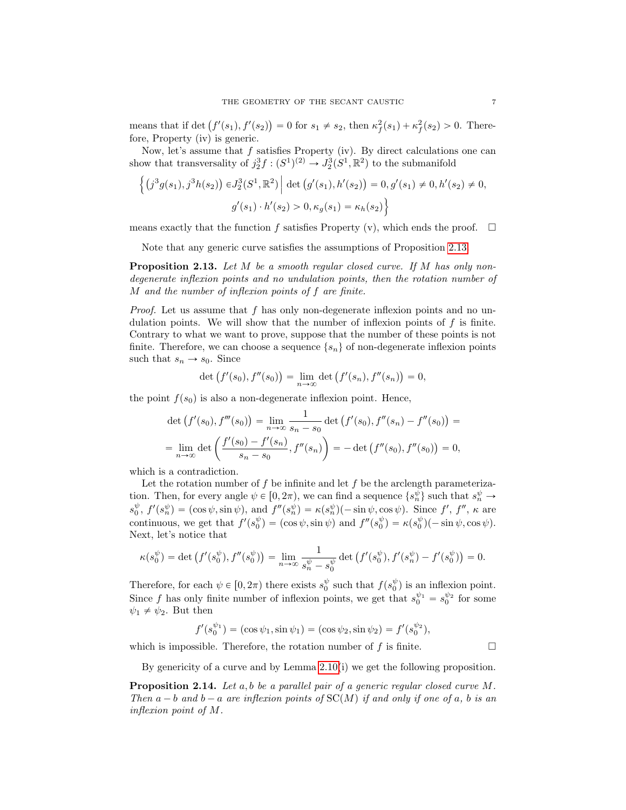means that if det  $(f'(s_1), f'(s_2)) = 0$  for  $s_1 \neq s_2$ , then  $\kappa_f^2(s_1) + \kappa_f^2(s_2) > 0$ . Therefore, Property (iv) is generic.

Now, let's assume that  $f$  satisfies Property (iv). By direct calculations one can show that transversality of  $j_2^3 f : (S^1)^{(2)} \to J_2^3 (S^1, \mathbb{R}^2)$  to the submanifold

$$
\left\{ (j^3 g(s_1), j^3 h(s_2)) \in J_2^3(S^1, \mathbb{R}^2) \middle| \det (g'(s_1), h'(s_2)) = 0, g'(s_1) \neq 0, h'(s_2) \neq 0, g'(s_1) \cdot h'(s_2) > 0, \kappa_g(s_1) = \kappa_h(s_2) \right\}
$$

means exactly that the function f satisfies Property (v), which ends the proof.  $\Box$ 

Note that any generic curve satisfies the assumptions of Proposition [2.13.](#page-6-0)

<span id="page-6-0"></span>**Proposition 2.13.** Let M be a smooth regular closed curve. If M has only nondegenerate inflexion points and no undulation points, then the rotation number of M and the number of inflexion points of f are finite.

*Proof.* Let us assume that f has only non-degenerate inflexion points and no undulation points. We will show that the number of inflexion points of  $f$  is finite. Contrary to what we want to prove, suppose that the number of these points is not finite. Therefore, we can choose a sequence  $\{s_n\}$  of non-degenerate inflexion points such that  $s_n \to s_0$ . Since<br>det  $(f'(s_0))$ 

$$
\det (f'(s_0), f''(s_0)) = \lim_{n \to \infty} \det (f'(s_n), f''(s_n)) = 0,
$$

the point  $f(s_0)$  is also a non-degenerate inflexion point. Hence,

$$
\det(f'(s_0), f'''(s_0)) = \lim_{n \to \infty} \frac{1}{s_n - s_0} \det(f'(s_0), f''(s_n) - f''(s_0)) =
$$
  
= 
$$
\lim_{n \to \infty} \det\left(\frac{f'(s_0) - f'(s_n)}{s_n - s_0}, f''(s_n)\right) = -\det\left(f''(s_0), f''(s_0)\right) = 0,
$$

which is a contradiction.

Let the rotation number of  $f$  be infinite and let  $f$  be the arclength parameterization. Then, for every angle  $\psi \in [0, 2\pi)$ , we can find a sequence  $\{s_n^{\psi}\}\$  such that  $s_n^{\psi} \to$  $s_0^{\psi}, f'(s_n^{\psi}) = (\cos \psi, \sin \psi), \text{ and } f''(s_n^{\psi}) = \kappa(s_n^{\psi})(-\sin \psi, \cos \psi).$  Since  $f', f'', \kappa$  are continuous, we get that  $f'(s_0^{\psi}) = (\cos \psi, \sin \psi)$  and  $f''(s_0^{\psi}) = \kappa(s_0^{\psi})(-\sin \psi, \cos \psi)$ . Next, let's notice that

$$
\kappa(s_0^{\psi}) = \det \left( f'(s_0^{\psi}), f''(s_0^{\psi}) \right) = \lim_{n \to \infty} \frac{1}{s_n^{\psi} - s_0^{\psi}} \det \left( f'(s_0^{\psi}), f'(s_n^{\psi}) - f'(s_0^{\psi}) \right) = 0.
$$

Therefore, for each  $\psi \in [0, 2\pi)$  there exists  $s_0^{\psi}$  such that  $f(s_0^{\psi})$  is an inflexion point. Since f has only finite number of inflexion points, we get that  $s_0^{\psi_1} = s_0^{\psi_2}$  for some  $\psi_1 \neq \psi_2$ . But then

$$
f'(s_0^{\psi_1}) = (\cos \psi_1, \sin \psi_1) = (\cos \psi_2, \sin \psi_2) = f'(s_0^{\psi_2}),
$$

which is impossible. Therefore, the rotation number of  $f$  is finite.  $\Box$ 

By genericity of a curve and by Lemma [2.10\(](#page-4-1)i) we get the following proposition.

<span id="page-6-1"></span>**Proposition 2.14.** Let  $a, b$  be a parallel pair of a generic regular closed curve  $M$ . Then  $a - b$  and  $b - a$  are inflexion points of  $SC(M)$  if and only if one of a, b is an inflexion point of M.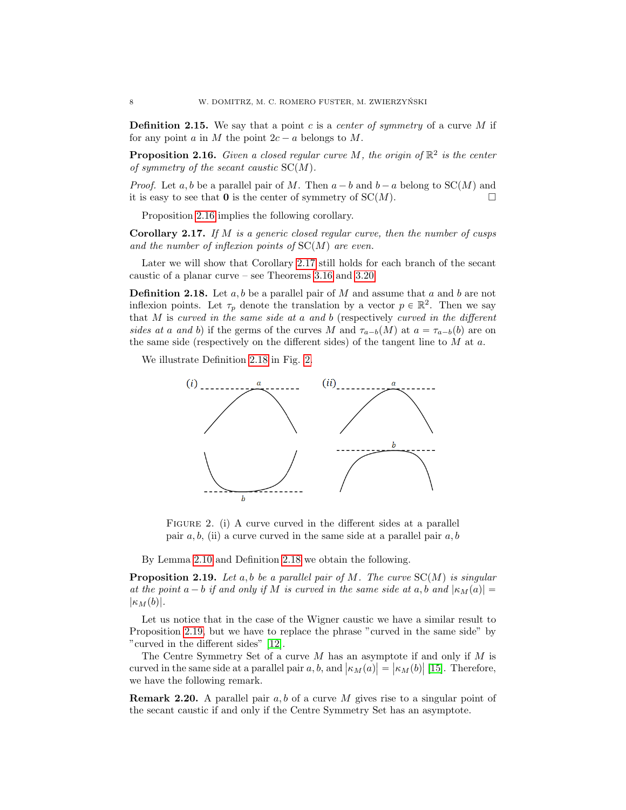**Definition 2.15.** We say that a point c is a center of symmetry of a curve  $M$  if for any point a in M the point  $2c - a$  belongs to M.

<span id="page-7-0"></span>**Proposition 2.16.** Given a closed regular curve M, the origin of  $\mathbb{R}^2$  is the center of symmetry of the secant caustic  $SC(M)$ .

*Proof.* Let a, b be a parallel pair of M. Then  $a - b$  and  $b - a$  belong to  $SC(M)$  and it is easy to see that **0** is the center of symmetry of  $SC(M)$ .

Proposition [2.16](#page-7-0) implies the following corollary.

<span id="page-7-1"></span>**Corollary 2.17.** If M is a generic closed regular curve, then the number of cusps and the number of inflexion points of  $SC(M)$  are even.

Later we will show that Corollary [2.17](#page-7-1) still holds for each branch of the secant caustic of a planar curve – see Theorems [3.16](#page-14-0) and [3.20.](#page-16-0)

<span id="page-7-2"></span>**Definition 2.18.** Let  $a, b$  be a parallel pair of M and assume that a and b are not inflexion points. Let  $\tau_p$  denote the translation by a vector  $p \in \mathbb{R}^2$ . Then we say that  $M$  is curved in the same side at a and  $b$  (respectively curved in the different sides at a and b) if the germs of the curves M and  $\tau_{a-b}(M)$  at  $a = \tau_{a-b}(b)$  are on the same side (respectively on the different sides) of the tangent line to  $M$  at  $a$ .

We illustrate Definition [2.18](#page-7-2) in Fig. [2.](#page-7-3)



<span id="page-7-3"></span>FIGURE 2. (i) A curve curved in the different sides at a parallel pair  $a, b$ , (ii) a curve curved in the same side at a parallel pair  $a, b$ 

By Lemma [2.10](#page-4-1) and Definition [2.18](#page-7-2) we obtain the following.

<span id="page-7-4"></span>**Proposition 2.19.** Let a, b be a parallel pair of M. The curve  $SC(M)$  is singular at the point  $a - b$  if and only if M is curved in the same side at a, b and  $|\kappa_M(a)| =$  $|\kappa_M(b)|.$ 

Let us notice that in the case of the Wigner caustic we have a similar result to Proposition [2.19,](#page-7-4) but we have to replace the phrase "curved in the same side" by "curved in the different sides" [\[12\]](#page-21-15).

The Centre Symmetry Set of a curve  $M$  has an asymptote if and only if  $M$  is curved in the same side at a parallel pair a, b, and  $|\kappa_M(a)| = |\kappa_M(b)|$  [\[15\]](#page-21-12). Therefore, we have the following remark.

**Remark 2.20.** A parallel pair  $a, b$  of a curve M gives rise to a singular point of the secant caustic if and only if the Centre Symmetry Set has an asymptote.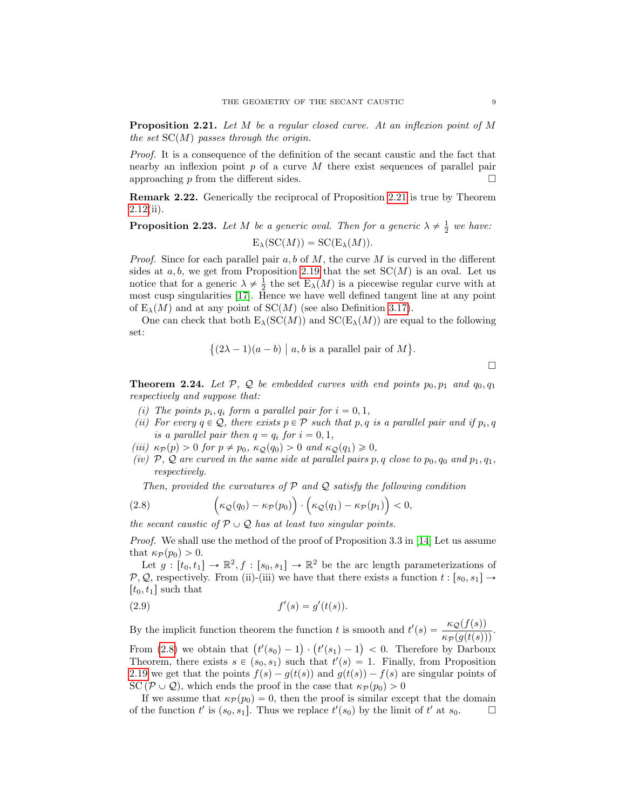<span id="page-8-0"></span>Proposition 2.21. Let M be a regular closed curve. At an inflexion point of M the set  $SC(M)$  passes through the origin.

Proof. It is a consequence of the definition of the secant caustic and the fact that nearby an inflexion point  $p$  of a curve  $M$  there exist sequences of parallel pair approaching p from the different sides.  $\square$ 

Remark 2.22. Generically the reciprocal of Proposition [2.21](#page-8-0) is true by Theorem [2.12\(](#page-5-0)ii).

**Proposition 2.23.** Let M be a generic oval. Then for a generic  $\lambda \neq \frac{1}{2}$  we have:  $E_{\lambda}(SC(M)) = SC(E_{\lambda}(M)).$ 

*Proof.* Since for each parallel pair  $a, b$  of  $M$ , the curve  $M$  is curved in the different sides at  $a, b$ , we get from Proposition [2.19](#page-7-4) that the set  $SC(M)$  is an oval. Let us notice that for a generic  $\lambda \neq \frac{1}{2}$  the set  $E_{\lambda}(M)$  is a piecewise regular curve with at most cusp singularities [\[17\]](#page-21-14). Hence we have well defined tangent line at any point of  $E_\lambda(M)$  and at any point of  $SC(M)$  (see also Definition [3.17\)](#page-15-0).

One can check that both  $E_{\lambda}(SC(M))$  and  $SC(E_{\lambda}(M))$  are equal to the following set: 

$$
\{(2\lambda - 1)(a - b) \mid a, b \text{ is a parallel pair of } M\}.
$$

 $\Box$ 

<span id="page-8-2"></span>**Theorem 2.24.** Let P, Q be embedded curves with end points  $p_0, p_1$  and  $q_0, q_1$ respectively and suppose that:

- (i) The points  $p_i, q_i$  form a parallel pair for  $i = 0, 1$ ,
- (ii) For every  $q \in \mathcal{Q}$ , there exists  $p \in \mathcal{P}$  such that p, q is a parallel pair and if  $p_i, q$ is a parallel pair then  $q = q_i$  for  $i = 0, 1$ ,
- (iii)  $\kappa_{\mathcal{P}}(p) > 0$  for  $p \neq p_0$ ,  $\kappa_{\mathcal{Q}}(q_0) > 0$  and  $\kappa_{\mathcal{Q}}(q_1) \geq 0$ ,
- (iv) P, Q are curved in the same side at parallel pairs p, q close to  $p_0$ ,  $q_0$  and  $p_1$ ,  $q_1$ , respectively.

Then, provided the curvatures of  $P$  and  $Q$  satisfy the following condition ¯  $\eta$  $\overline{a}$ 

<span id="page-8-1"></span>(2.8) 
$$
\left(\kappa_{\mathcal{Q}}(q_0)-\kappa_{\mathcal{P}}(p_0)\right)\cdot\left(\kappa_{\mathcal{Q}}(q_1)-\kappa_{\mathcal{P}}(p_1)\right)<0,
$$

the secant caustic of  $P \cup Q$  has at least two singular points.

Proof. We shall use the method of the proof of Proposition 3.3 in [\[14\]](#page-21-11) Let us assume that  $\kappa_{\mathcal{P}}(p_0) > 0$ .

Let  $g: [t_0, t_1] \to \mathbb{R}^2, f: [s_0, s_1] \to \mathbb{R}^2$  be the arc length parameterizations of P, Q, respectively. From (ii)-(iii) we have that there exists a function  $t : [s_0, s_1] \rightarrow$  $[t_0, t_1]$  such that

(2.9) 
$$
f'(s) = g'(t(s)).
$$

By the implicit function theorem the function t is smooth and  $t'(s) = \frac{\kappa_{\mathcal{Q}}(f(s))}{\kappa_{\mathcal{P}}(g(t(s)))}$ . From [\(2.8\)](#page-8-1) we obtain that  $(t'(s_0) - 1) \cdot (t'(s_1) - 1) < 0$ . Therefore by Darboux

Theorem, there exists  $s \in (s_0, s_1)$  such that  $t'(s) = 1$ . Finally, from Proposition [2.19](#page-7-4) we get that the points  $f(s) - g(t(s))$  and  $g(t(s)) - f(s)$  are singular points of SC  $(\mathcal{P} \cup \mathcal{Q})$ , which ends the proof in the case that  $\kappa_{\mathcal{P}}(p_0) > 0$ 

If we assume that  $\kappa_{\mathcal{P}}(p_0) = 0$ , then the proof is similar except that the domain of the function  $t'$  is  $(s_0, s_1]$ . Thus we replace  $t'(s_0)$  by the limit of  $t'$  at  $s_0$ .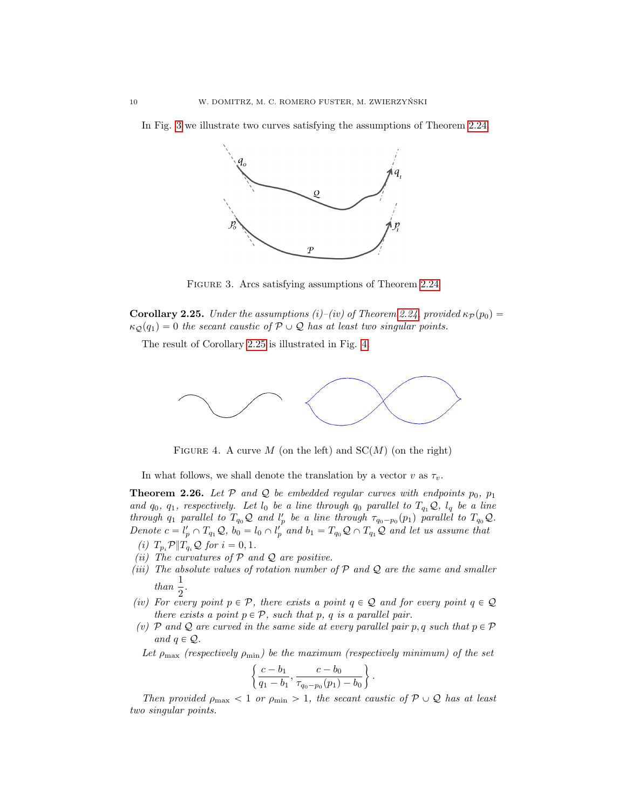In Fig. [3](#page-9-0) we illustrate two curves satisfying the assumptions of Theorem [2.24.](#page-8-2)



<span id="page-9-0"></span>FIGURE 3. Arcs satisfying assumptions of Theorem [2.24](#page-8-2)

<span id="page-9-1"></span>**Corollary 2.25.** Under the assumptions (i)–(iv) of Theorem [2.24,](#page-8-2) provided  $\kappa_P(p_0)$  =  $\kappa_{\mathcal{Q}}(q_1) = 0$  the secant caustic of  $\mathcal{P} \cup \mathcal{Q}$  has at least two singular points.

The result of Corollary [2.25](#page-9-1) is illustrated in Fig. [4.](#page-9-2)



<span id="page-9-2"></span>FIGURE 4. A curve M (on the left) and  $SC(M)$  (on the right)

In what follows, we shall denote the translation by a vector v as  $\tau_v$ .

<span id="page-9-3"></span>**Theorem 2.26.** Let P and Q be embedded regular curves with endpoints  $p_0$ ,  $p_1$ and  $q_0$ ,  $q_1$ , respectively. Let  $l_0$  be a line through  $q_0$  parallel to  $T_{q_1}Q$ ,  $l_q$  be a line through  $q_1$  parallel to  $T_{q_0}Q$  and  $l'_p$  be a line through  $\tau_{q_0-p_0}(p_1)$  parallel to  $T_{q_0}Q$ . Denote  $c = l'_p \cap T_{q_1} \mathcal{Q}, b_0 = l_0 \cap l'_p$  and  $b_1 = T_{q_0} \mathcal{Q} \cap T_{q_1} \mathcal{Q}$  and let us assume that

- (i)  $T_{p_i} \mathcal{P} || T_{q_i} \mathcal{Q}$  for  $i = 0, 1$ . (ii) The curvatures of  $P$  and  $Q$  are positive.
- (iii) The absolute values of rotation number of  $P$  and  $Q$  are the same and smaller
	- than  $\frac{1}{2}$ .
- (iv) For every point  $p \in \mathcal{P}$ , there exists a point  $q \in \mathcal{Q}$  and for every point  $q \in \mathcal{Q}$ there exists a point  $p \in \mathcal{P}$ , such that p, q is a parallel pair.
- (v) P and Q are curved in the same side at every parallel pair p, q such that  $p \in \mathcal{P}$ and  $q \in \mathcal{Q}$ .

Let  $\rho_{\text{max}}$  (respectively  $\rho_{\text{min}}$ ) be the maximum (respectively minimum) of the set

$$
\left\{\frac{c-b_1}{q_1-b_1}, \frac{c-b_0}{\tau_{q_0-p_0}(p_1)-b_0}\right\}.
$$

Then provided  $\rho_{\text{max}} < 1$  or  $\rho_{\text{min}} > 1$ , the secant caustic of  $P \cup Q$  has at least two singular points.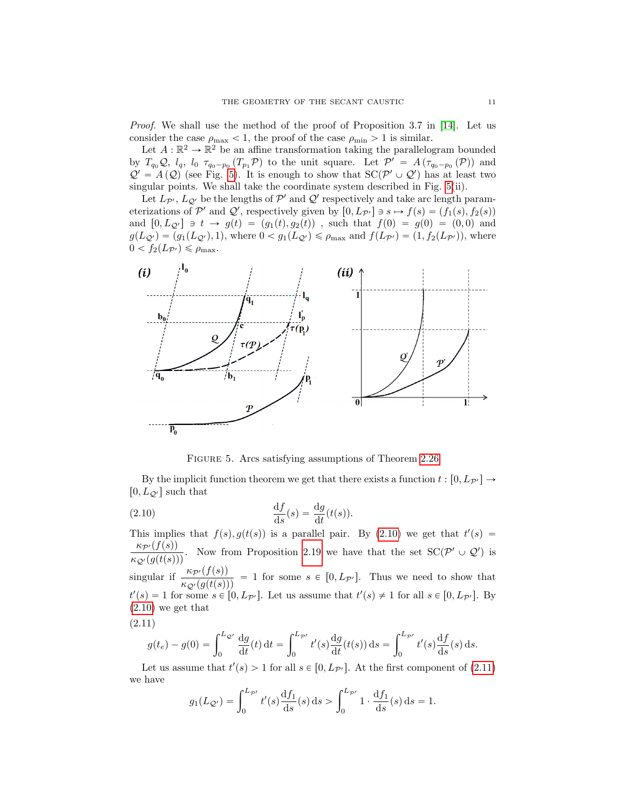*Proof.* We shall use the method of the proof of Proposition 3.7 in [\[14\]](#page-21-11). Let us consider the case  $\rho_{\text{max}} < 1$ , the proof of the case  $\rho_{\text{min}} > 1$  is similar.

Let  $A: \mathbb{R}^2 \to \mathbb{R}^2$  be an affine transformation taking the parallelogram bounded by  $T_{q_0}\mathcal{Q}, l_q, l_0 \tau_{q_0-p_0}(T_{p_1}\mathcal{P})$  to the unit square. Let  $\mathcal{P}' = A(\tau_{q_0-p_0}(\mathcal{P}))$  and  $\mathcal{Q}' = A(\mathcal{Q})$  (see Fig. [5\)](#page-10-0). It is enough to show that  $SC(\mathcal{P}' \cup \mathcal{Q}')$  has at least two singular points. We shall take the coordinate system described in Fig. [5\(](#page-10-0)ii).

Let  $L_{\mathcal{P}'}, L_{\mathcal{Q}'}$  be the lengths of  $\mathcal{P}'$  and  $\mathcal{Q}'$  respectively and take arc length parameterizations of P' and Q', respectively given by  $[0, L_{\mathcal{P}'}] \ni s \mapsto f(s) = (f_1(s), f_2(s))$ and  $[0, L_{\mathcal{Q}'}] \ni t \to g(t) = (g_1(t), g_2(t))$ , such that  $f(0) = g(0) = (0, 0)$  and  $g(L_{\mathcal{Q}}) = (g_1(L_{\mathcal{Q}}), 1)$ , where  $0 < g_1(L_{\mathcal{Q}}) \le \rho_{\text{max}}$  and  $f(L_{\mathcal{P}}) = (1, f_2(L_{\mathcal{P}}))$ , where  $0 < f_2(L_{\mathcal{P}'} ) \leqslant \rho_{\max}.$ 



<span id="page-10-0"></span>FIGURE 5. Arcs satisfying assumptions of Theorem [2.26](#page-9-3)

By the implicit function theorem we get that there exists a function  $t : [0, L_{\mathcal{P}}] \rightarrow$  $[0, L_{\mathcal{Q}'}]$  such that

<span id="page-10-1"></span>(2.10) 
$$
\frac{\mathrm{d}f}{\mathrm{d}s}(s) = \frac{\mathrm{d}g}{\mathrm{d}t}(t(s)).
$$

This implies that  $f(s)$ ,  $g(t(s))$  is a parallel pair. By [\(2.10\)](#page-10-1) we get that  $t'(s)$  $\frac{\kappa_{\mathcal{P}'}(f(s))}{\kappa_{\mathcal{Q}'}(g(t(s)))}$ . Now from Proposition [2.19](#page-7-4) we have that the set  $SC(\mathcal{P'} \cup \mathcal{Q'})$  is singular if  $\frac{\kappa_{\mathcal{P}'}(f(s))}{\kappa_{\mathcal{Q}'}(g(t(s)))} = 1$  for some  $s \in [0, L_{\mathcal{P}'}]$ . Thus we need to show that  $t'(s) = 1$  for some  $s \in [0, L_{\mathcal{P}}]$ . Let us assume that  $t'(s) \neq 1$  for all  $s \in [0, L_{\mathcal{P}}]$ . By  $(2.10)$  we get that

<span id="page-10-2"></span>(2.11)

$$
g(t_e) - g(0) = \int_0^{L_{\mathcal{Q}'}} \frac{dg}{dt}(t) dt = \int_0^{L_{\mathcal{P}'}} t'(s) \frac{dg}{dt}(t(s)) ds = \int_0^{L_{\mathcal{P}'}} t'(s) \frac{df}{ds}(s) ds.
$$

Let us assume that  $t'(s) > 1$  for all  $s \in [0, L_{\mathcal{P}'}]$ . At the first component of  $(2.11)$ we have

$$
g_1(L_{\mathcal{Q}'}) = \int_0^{L_{\mathcal{P}'}} t'(s) \frac{\mathrm{d}f_1}{\mathrm{d}s}(s) \, \mathrm{d}s > \int_0^{L_{\mathcal{P}'}} 1 \cdot \frac{\mathrm{d}f_1}{\mathrm{d}s}(s) \, \mathrm{d}s = 1.
$$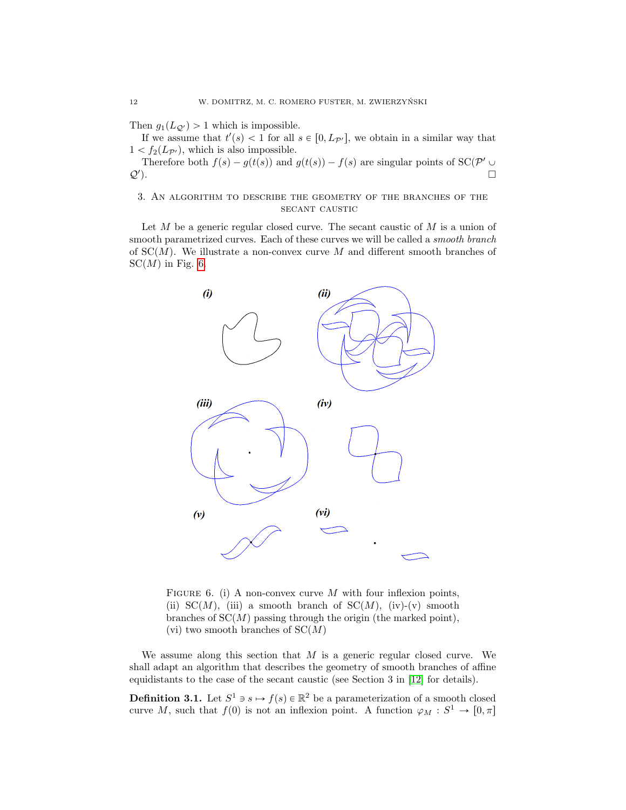Then  $g_1(L_{\mathcal{Q}'}) > 1$  which is impossible.

If we assume that  $t'(s) < 1$  for all  $s \in [0, L_{\mathcal{P}'}]$ , we obtain in a similar way that  $1 < f_2(L_{\mathcal{P}'})$ , which is also impossible.

Therefore both  $f(s) - g(t(s))$  and  $g(t(s)) - f(s)$  are singular points of SC(P'  $\cup$  $Q'$ ). ).  $\qquad \qquad \Box$ 

## 3. An algorithm to describe the geometry of the branches of the secant caustic

Let  $M$  be a generic regular closed curve. The secant caustic of  $M$  is a union of smooth parametrized curves. Each of these curves we will be called a *smooth branch* of  $SC(M)$ . We illustrate a non-convex curve M and different smooth branches of  $SC(M)$  in Fig. [6.](#page-11-0)



<span id="page-11-0"></span>FIGURE 6. (i) A non-convex curve M with four inflexion points, (ii) SC(M), (iii) a smooth branch of SC(M), (iv)-(v) smooth branches of  $SC(M)$  passing through the origin (the marked point), (vi) two smooth branches of  $SC(M)$ 

We assume along this section that  $M$  is a generic regular closed curve. We shall adapt an algorithm that describes the geometry of smooth branches of affine equidistants to the case of the secant caustic (see Section 3 in [\[12\]](#page-21-15) for details).

**Definition 3.1.** Let  $S^1 \ni s \mapsto f(s) \in \mathbb{R}^2$  be a parameterization of a smooth closed curve M, such that  $f(0)$  is not an inflexion point. A function  $\varphi_M : S^1 \to [0, \pi]$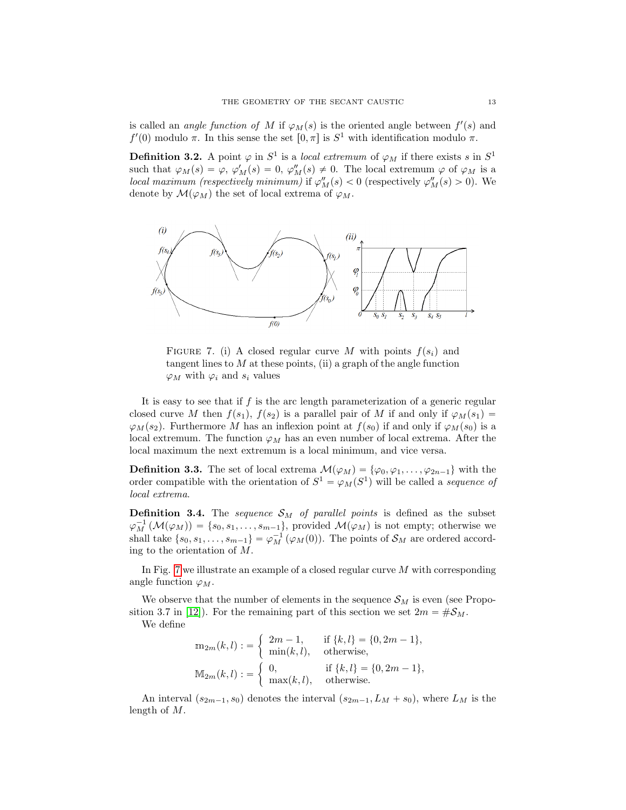is called an *angle function of* M if  $\varphi_M(s)$  is the oriented angle between  $f'(s)$  and  $f'(0)$  modulo π. In this sense the set  $[0, π]$  is  $S<sup>1</sup>$  with identification modulo π.

**Definition 3.2.** A point  $\varphi$  in  $S^1$  is a *local extremum* of  $\varphi_M$  if there exists s in  $S^1$ such that  $\varphi_M(s) = \varphi, \varphi'_M(s) = 0, \varphi''_M(s) \neq 0$ . The local extremum  $\varphi$  of  $\varphi_M$  is a local maximum (respectively minimum) if  $\varphi''_M(s) < 0$  (respectively  $\varphi''_M(s) > 0$ ). We denote by  $\mathcal{M}(\varphi_M)$  the set of local extrema of  $\varphi_M$ .



<span id="page-12-0"></span>FIGURE 7. (i) A closed regular curve M with points  $f(s_i)$  and tangent lines to  $M$  at these points, (ii) a graph of the angle function  $\varphi_M$  with  $\varphi_i$  and  $s_i$  values

It is easy to see that if  $f$  is the arc length parameterization of a generic regular closed curve M then  $f(s_1)$ ,  $f(s_2)$  is a parallel pair of M if and only if  $\varphi_M(s_1) =$  $\varphi_M(s_2)$ . Furthermore M has an inflexion point at  $f(s_0)$  if and only if  $\varphi_M(s_0)$  is a local extremum. The function  $\varphi_M$  has an even number of local extrema. After the local maximum the next extremum is a local minimum, and vice versa.

**Definition 3.3.** The set of local extrema  $\mathcal{M}(\varphi_M) = {\varphi_0, \varphi_1, \ldots, \varphi_{2n-1}}$  with the order compatible with the orientation of  $S^1 = \varphi_M(S^1)$  will be called a sequence of local extrema.

**Definition 3.4.** The *sequence*  $S_M$  of parallel points is defined as the subset  $\varphi_M^{-1}(\mathcal{M}(\varphi_M)) = \{s_0, s_1, \ldots, s_{m-1}\},$  provided  $\mathcal{M}(\varphi_M)$  is not empty; otherwise we shall take  $\{s_0, s_1, \ldots, s_{m-1}\} = \varphi_M^{-1}(\varphi_M(0))$ . The points of  $\mathcal{S}_M$  are ordered according to the orientation of M.

In Fig. [7](#page-12-0) we illustrate an example of a closed regular curve  $M$  with corresponding angle function  $\varphi_M$ .

We observe that the number of elements in the sequence  $\mathcal{S}_M$  is even (see Propo-sition 3.7 in [\[12\]](#page-21-15)). For the remaining part of this section we set  $2m = \#\mathcal{S}_M$ .

We define

$$
\mathbf{m}_{2m}(k,l) := \begin{cases} 2m-1, & \text{if } \{k,l\} = \{0, 2m-1\}, \\ \min(k,l), & \text{otherwise}, \end{cases}
$$

$$
\mathbb{M}_{2m}(k,l) := \begin{cases} 0, & \text{if } \{k,l\} = \{0, 2m-1\}, \\ \max(k,l), & \text{otherwise}. \end{cases}
$$

An interval  $(s_{2m-1}, s_0)$  denotes the interval  $(s_{2m-1}, L_M + s_0)$ , where  $L_M$  is the length of M.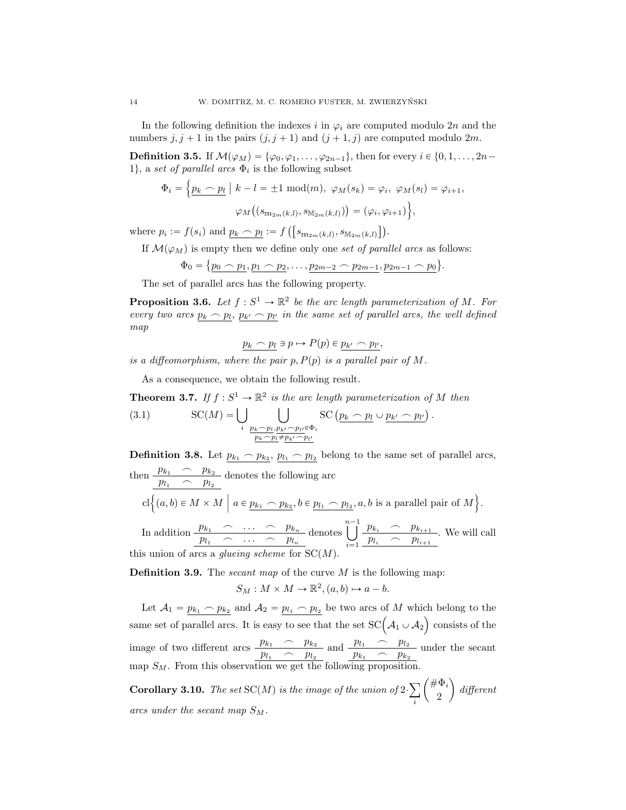In the following definition the indexes i in  $\varphi_i$  are computed modulo 2n and the numbers  $j, j + 1$  in the pairs  $(j, j + 1)$  and  $(j + 1, j)$  are computed modulo 2m.

**Definition 3.5.** If  $\mathcal{M}(\varphi_M) = \{\varphi_0, \varphi_1, \ldots, \varphi_{2n-1}\}\$ , then for every  $i \in \{0, 1, \ldots, 2n-1\}$ 1}, a set of parallel arcs  $\Phi_i$  is the following subset

$$
\Phi_i = \left\{ \underline{p_k \frown p_l} \mid k - l = \pm 1 \mod(m), \ \varphi_M(s_k) = \varphi_i, \ \varphi_M(s_l) = \varphi_{i+1}, \right.
$$

$$
\varphi_M\left( (s_{m_{2m}(k,l)}, s_{M_{2m}(k,l)}) \right) = (\varphi_i, \varphi_{i+1}) \right\},
$$

where  $p_i := f(s_i)$  and  $p_k \frown p_l := f$  $s_{m_{2m}(k,l)}, s_{\mathbb{M}_{2m}(k,l)}$ .

If  $\mathcal{M}(\varphi_M)$  is empty then we define only one set of parallel arcs as follows:

$$
\Phi_0 = \{p_0 \frown p_1, p_1 \frown p_2, \ldots, p_{2m-2} \frown p_{2m-1}, p_{2m-1} \frown p_0\}.
$$

The set of parallel arcs has the following property.

**Proposition 3.6.** Let  $f : S^1 \to \mathbb{R}^2$  be the arc length parameterization of M. For every two arcs  $p_k \frown p_l$ ,  $p_{k'} \frown p_{l'}$  in the same set of parallel arcs, the well defined map

$$
p_k \frown p_l \ni p \mapsto P(p) \in \underline{p_{k'}} \frown p_{l'}
$$

is a diffeomorphism, where the pair  $p, P(p)$  is a parallel pair of M.

As a consequence, we obtain the following result.

**Theorem 3.7.** If 
$$
f : S^1 \to \mathbb{R}^2
$$
 is the arc length parameterization of M then  
\n(3.1) 
$$
SC(M) = \bigcup_{i} \bigcup_{\substack{p_k \sim p_l, p_{k'} \sim p_{l'} \in \Phi_i \\ \frac{p_k \sim p_l \neq p_{k'} \sim p_{l'}}{p_{k'} \sim p_{l'}}}} SC(p_k \sim p_l \cup p_{k'} \sim p_{l'})
$$

**Definition 3.8.** Let  $p_{k_1} \frown p_{k_2}, p_{l_1} \frown p_{l_2}$  belong to the same set of parallel arcs,

then 
$$
\frac{p_{k_1} \frown p_{k_2}}{p_{l_1} \frown p_{l_2}}
$$
 denotes the following arc  
\n
$$
cl \Big\{ (a, b) \in M \times M \mid a \in \underline{p_{k_1} \frown p_{k_2}}, b \in \underline{p_{l_1} \frown p_{l_2}}, a, b \text{ is a parallel pair of } M \Big\}.
$$
\nIn addition,  $\begin{aligned} p_{k_1} \frown \cdots \frown p_{k_n} \text{ denotes } \bigcup_{k=1}^{n-1} p_{k_i} \frown p_{k_{i+1}} \text{ is a null cell.} \end{aligned}$ 

In addition  $\frac{p_{k_1} \cdots p_{k_n}}{p_{l_1} \cdots p_{l_n}}$  denotes  $i=1$  $\frac{p_{\kappa_i}}{p_{l_i}} \sim \frac{p_{\kappa_{i+1}}}{p_{l_{i+1}}}$ . We will call this union of arcs a *glueing scheme* for  $SC(M)$ .

**Definition 3.9.** The *secant map* of the curve  $M$  is the following map:

$$
S_M: M \times M \to \mathbb{R}^2, (a, b) \mapsto a - b.
$$

Let  $A_1 = p_{k_1} \frown p_{k_2}$  and  $A_2 = p_{l_1} \frown p_{l_2}$  be two arcs of M which belong to the Let  $A_1 = p_{k_1} \frown p_{k_2}$  and  $A_2 = p_{l_1} \frown p_{l_2}$  be two arcs of *M* which belong to the<br>same set of parallel arcs. It is easy to see that the set  $SC(A_1 \cup A_2)$  consists of the image of two different arcs  $\frac{p_{k_1} \cdot p_{k_2}}{p_{l_1} \cdot p_{l_2}}$  and  $\frac{p_{l_1} \cdot p_{l_2}}{p_{k_1} \cdot p_{k_2}}$  under the secant map  $S_M$ . From this observation we get the following proposition.

<span id="page-13-0"></span>**Corollary 3.10.** The set  $SC(M)$  is the image of the union of 2 $\cdot$ i  $\#\Phi_i$  $\binom{1}{2}$  different arcs under the secant map  $S_M$ .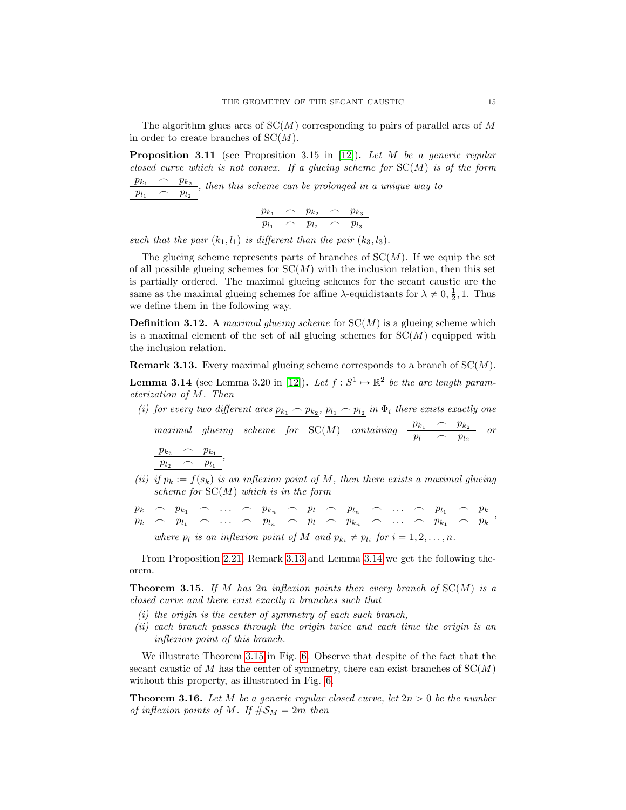The algorithm glues arcs of  $SC(M)$  corresponding to pairs of parallel arcs of M in order to create branches of  $SC(M)$ .

<span id="page-14-4"></span>**Proposition 3.11** (see Proposition 3.15 in [\[12\]](#page-21-15)). Let M be a generic regular closed curve which is not convex. If a glueing scheme for  $SC(M)$  is of the form  $\frac{p_{k_1} \cdot p_{k_2}}{p_{k_1} \cdot p_{k_2}}$ , then this scheme can be prolonged in a unique way to  $p_{l_1} \frown p_{l_2}$ 

$$
\frac{p_{k_1} \quad \frown \quad p_{k_2} \quad \frown \quad p_{k_3}}{p_{l_1} \quad \frown \quad p_{l_2} \quad \frown \quad p_{l_3}}
$$

such that the pair  $(k_1, l_1)$  is different than the pair  $(k_3, l_3)$ .

The glueing scheme represents parts of branches of  $SC(M)$ . If we equip the set of all possible glueing schemes for  $SC(M)$  with the inclusion relation, then this set is partially ordered. The maximal glueing schemes for the secant caustic are the same as the maximal glueing schemes for affine  $\lambda$ -equidistants for  $\lambda \neq 0, \frac{1}{2}, 1$ . Thus we define them in the following way.

**Definition 3.12.** A *maximal glueing scheme* for  $SC(M)$  is a glueing scheme which is a maximal element of the set of all glueing schemes for  $SC(M)$  equipped with the inclusion relation.

<span id="page-14-1"></span>**Remark 3.13.** Every maximal glueing scheme corresponds to a branch of  $SC(M)$ .

<span id="page-14-2"></span>**Lemma 3.14** (see Lemma 3.20 in [\[12\]](#page-21-15)). Let  $f : S^1 \to \mathbb{R}^2$  be the arc length parameterization of M. Then

(i) for every two different arcs  $p_{k_1} \frown p_{k_2}$ ,  $p_{l_1} \frown p_{l_2}$  in  $\Phi_i$  there exists exactly one

maximal glueing scheme for  $SC(M)$  containing  $\frac{p_{k_1}}{p_{l_1}} \begin{array}{c} p_{k_2} \\ \hline p_{l_2} \end{array}$  or  $p_{k_2} \frown p_{k_1}$  $\frac{p_{k_2}}{p_{l_2}} \frown \frac{p_{k_1}}{p_{l_1}},$ 

(ii) if  $p_k := f(s_k)$  is an inflexion point of M, then there exists a maximal glueing scheme for  $SC(M)$  which is in the form

|  |  |  |  |  | $p_k \sim p_{k_1} \sim \ldots \sim p_{k_n} \sim p_l \sim p_{l_n} \sim \ldots \sim p_{l_1} \sim p_k$ |  |  |  |
|--|--|--|--|--|-----------------------------------------------------------------------------------------------------|--|--|--|
|  |  |  |  |  | $p_k \sim p_{l_1} \sim \ldots \sim p_{l_n} \sim p_l \sim p_{k_n} \sim \ldots \sim p_{k_1} \sim p_k$ |  |  |  |
|  |  |  |  |  | where n is an inflament point of M and n, $\pm n$ , for $i = 1, 2, , n$                             |  |  |  |

where  $p_l$  is an inflexion point of M and  $p_{k_i} \neq p_{l_i}$  for  $i = 1, 2, ..., n$ .

From Proposition [2.21,](#page-8-0) Remark [3.13](#page-14-1) and Lemma [3.14](#page-14-2) we get the following theorem.

<span id="page-14-3"></span>**Theorem 3.15.** If M has 2n inflexion points then every branch of  $SC(M)$  is a closed curve and there exist exactly n branches such that

- $(i)$  the origin is the center of symmetry of each such branch,
- (ii) each branch passes through the origin twice and each time the origin is an inflexion point of this branch.

We illustrate Theorem [3.15](#page-14-3) in Fig. [6.](#page-11-0) Observe that despite of the fact that the secant caustic of M has the center of symmetry, there can exist branches of  $SC(M)$ without this property, as illustrated in Fig. [6.](#page-11-0)

<span id="page-14-0"></span>**Theorem 3.16.** Let M be a generic regular closed curve, let  $2n > 0$  be the number of inflexion points of M. If  $\#\mathcal{S}_M = 2m$  then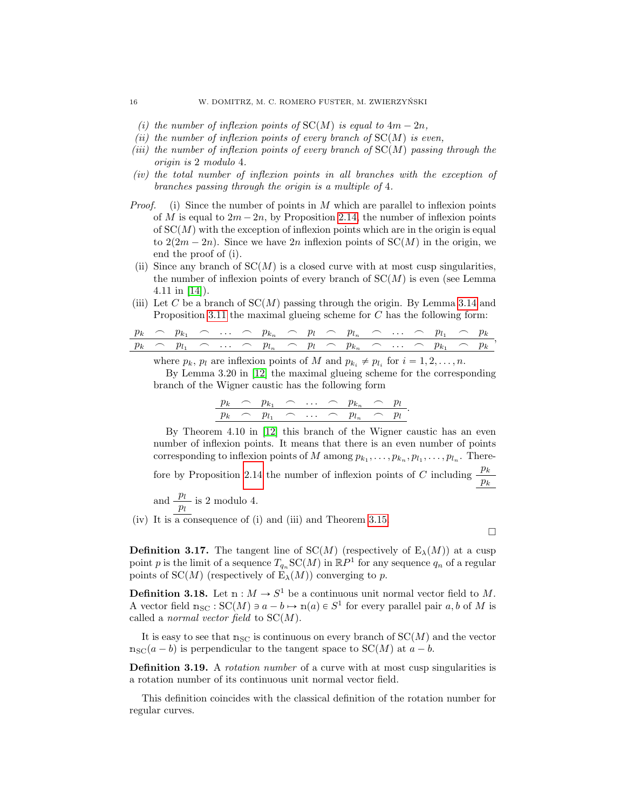- (i) the number of inflexion points of  $SC(M)$  is equal to  $4m 2n$ ,
- (ii) the number of inflexion points of every branch of  $SC(M)$  is even,
- (iii) the number of inflexion points of every branch of  $SC(M)$  passing through the origin is 2 modulo 4.
- (iv) the total number of inflexion points in all branches with the exception of branches passing through the origin is a multiple of 4.
- *Proof.* (i) Since the number of points in M which are parallel to inflexion points of M is equal to  $2m - 2n$ , by Proposition [2.14,](#page-6-1) the number of inflexion points of  $SC(M)$  with the exception of inflexion points which are in the origin is equal to  $2(2m - 2n)$ . Since we have  $2n$  inflexion points of  $SC(M)$  in the origin, we end the proof of (i).
- (ii) Since any branch of  $SC(M)$  is a closed curve with at most cusp singularities, the number of inflexion points of every branch of  $SC(M)$  is even (see Lemma 4.11 in [\[14\]](#page-21-11)).
- (iii) Let C be a branch of  $SC(M)$  passing through the origin. By Lemma [3.14](#page-14-2) and Proposition [3.11](#page-14-4) the maximal glueing scheme for  $C$  has the following form:

p<sup>k</sup> " pk<sup>1</sup> " . . . " pk<sup>n</sup> " p<sup>l</sup> " pl<sup>n</sup> " . . . " pl<sup>1</sup> " p<sup>k</sup> p<sup>k</sup> " pl<sup>1</sup> " . . . " pl<sup>n</sup> " p<sup>l</sup> " pk<sup>n</sup> " . . . " pk<sup>1</sup> " p<sup>k</sup> ,

where  $p_k$ ,  $p_l$  are inflexion points of M and  $p_{k_i} \neq p_{l_i}$  for  $i = 1, 2, ..., n$ .

By Lemma 3.20 in [\[12\]](#page-21-15) the maximal glueing scheme for the corresponding branch of the Wigner caustic has the following form

|  | $p_k \sim p_{k_1} \sim \ldots$ |  | $\bigcap$ $pk_n$ $\curvearrowleft$ |                      | $\mu$ |  |
|--|--------------------------------|--|------------------------------------|----------------------|-------|--|
|  | $p_k \sim p_{l_1} \sim \ldots$ |  | $\bigcap_{I}$                      | $\sim$ $\sim$ $\sim$ | $p_l$ |  |

By Theorem 4.10 in [\[12\]](#page-21-15) this branch of the Wigner caustic has an even number of inflexion points. It means that there is an even number of points corresponding to inflexion points of M among  $p_{k_1}, \ldots, p_{k_n}, p_{l_1}, \ldots, p_{l_n}$ . There-fore by Proposition [2.14](#page-6-1) the number of inflexion points of C including  $\frac{p_k}{p_k}$ 

and 
$$
\frac{p_l}{p_l}
$$
 is 2 modulo 4.

(iv) It is a consequence of (i) and (iii) and Theorem [3.15.](#page-14-3)

 $\Box$ 

<span id="page-15-0"></span>**Definition 3.17.** The tangent line of SC(M) (respectively of  $E_\lambda(M)$ ) at a cusp point p is the limit of a sequence  $T_{q_n}SC(M)$  in  $\mathbb{R}P^1$  for any sequence  $q_n$  of a regular points of SC(M) (respectively of  $E_\lambda(M)$ ) converging to p.

**Definition 3.18.** Let  $m : M \to S^1$  be a continuous unit normal vector field to M. A vector field  $n_{SC}$ :  $SC(M) \ni a - b \mapsto n(a) \in S^1$  for every parallel pair a, b of M is called a *normal vector field* to  $SC(M)$ .

It is easy to see that  $n_{SC}$  is continuous on every branch of  $SC(M)$  and the vector  $n_{\rm SC}(a - b)$  is perpendicular to the tangent space to  $SC(M)$  at  $a - b$ .

**Definition 3.19.** A *rotation number* of a curve with at most cusp singularities is a rotation number of its continuous unit normal vector field.

This definition coincides with the classical definition of the rotation number for regular curves.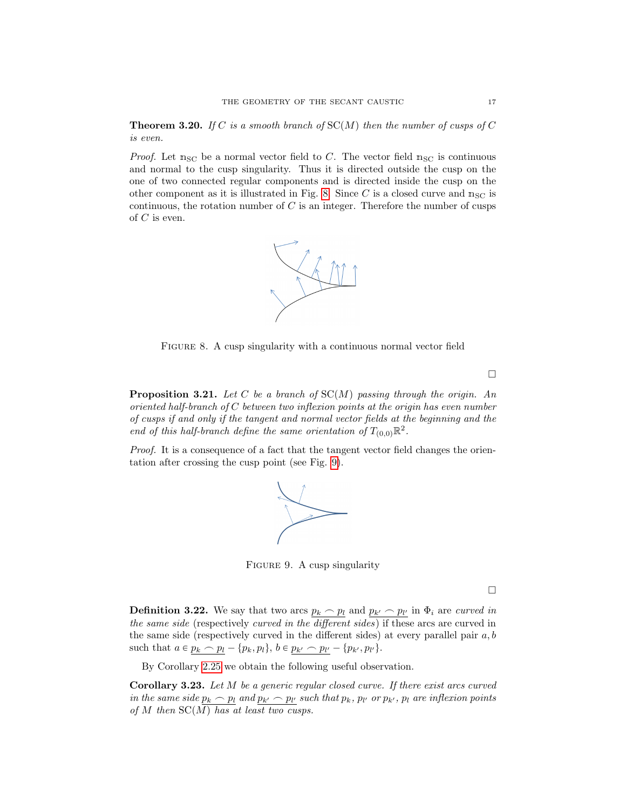<span id="page-16-0"></span>**Theorem 3.20.** If C is a smooth branch of  $SC(M)$  then the number of cusps of C is even.

*Proof.* Let  $n_{\rm SC}$  be a normal vector field to C. The vector field  $n_{\rm SC}$  is continuous and normal to the cusp singularity. Thus it is directed outside the cusp on the one of two connected regular components and is directed inside the cusp on the other component as it is illustrated in Fig. [8.](#page-16-1) Since C is a closed curve and  $n_{SC}$  is continuous, the rotation number of  $C$  is an integer. Therefore the number of cusps of  $C$  is even.



<span id="page-16-1"></span>FIGURE 8. A cusp singularity with a continuous normal vector field

**Proposition 3.21.** Let C be a branch of  $SC(M)$  passing through the origin. An oriented half-branch of C between two inflexion points at the origin has even number of cusps if and only if the tangent and normal vector fields at the beginning and the end of this half-branch define the same orientation of  $T_{(0,0)}\mathbb{R}^2$ .

Proof. It is a consequence of a fact that the tangent vector field changes the orientation after crossing the cusp point (see Fig. [9\)](#page-16-2).



<span id="page-16-2"></span>FIGURE 9. A cusp singularity

 $\Box$ 

**Definition 3.22.** We say that two arcs  $p_k \sim p_l$  and  $p_{k'} \sim p_{l'}$  in  $\Phi_i$  are curved in the same side (respectively curved in the different sides) if these arcs are curved in the same side (respectively curved in the different sides) at every parallel pair  $a, b$ such that  $a \in p_k \frown p_l - \{p_k, p_l\}, b \in p_{k'} \frown p_{l'} - \{p_{k'}, p_{l'}\}.$ 

By Corollary [2.25](#page-9-1) we obtain the following useful observation.

Corollary 3.23. Let M be a generic regular closed curve. If there exist arcs curved in the same side  $p_k \frown p_l$  and  $p_{k'} \frown p_{l'}$  such that  $p_k$ ,  $p_{l'}$  or  $p_{k'}$ ,  $p_l$  are inflexion points of M then  $SC(M)$  has at least two cusps.

 $\Box$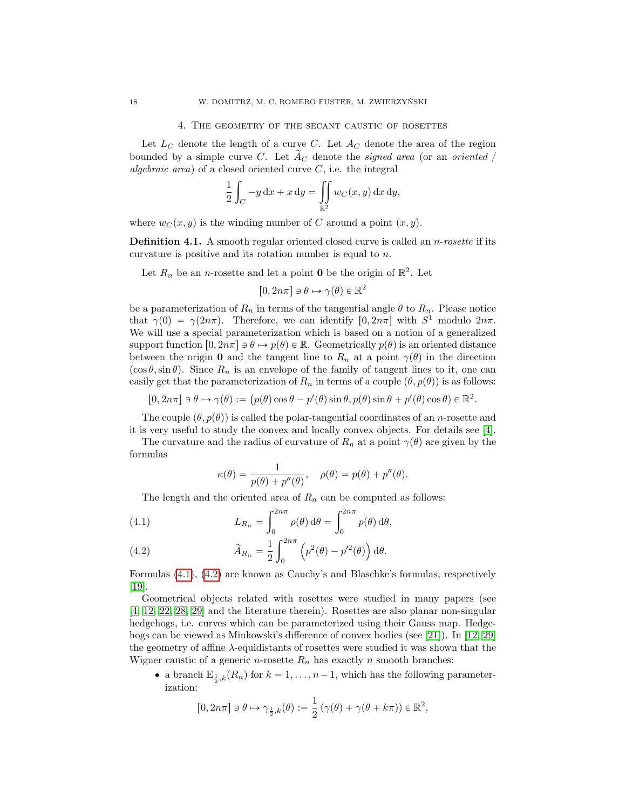#### 4. The geometry of the secant caustic of rosettes

Let  $L_C$  denote the length of a curve C. Let  $A_C$  denote the area of the region bounded by a simple curve C. Let  $A_C$  denote the *signed area* (or an *oriented* / algebraic area) of a closed oriented curve  $C$ , i.e. the integral

$$
\frac{1}{2} \int_C -y \, dx + x \, dy = \iint_{\mathbb{R}^2} w_C(x, y) \, dx \, dy,
$$

where  $w_C(x, y)$  is the winding number of C around a point  $(x, y)$ .

**Definition 4.1.** A smooth regular oriented closed curve is called an  $n$ -rosette if its curvature is positive and its rotation number is equal to n.

Let  $R_n$  be an *n*-rosette and let a point **0** be the origin of  $\mathbb{R}^2$ . Let

$$
[0, 2n\pi] \ni \theta \mapsto \gamma(\theta) \in \mathbb{R}^2
$$

be a parameterization of  $R_n$  in terms of the tangential angle  $\theta$  to  $R_n$ . Please notice that  $\gamma(0) = \gamma(2n\pi)$ . Therefore, we can identify  $[0, 2n\pi]$  with  $S^1$  modulo  $2n\pi$ . We will use a special parameterization which is based on a notion of a generalized support function  $[0, 2n\pi] \ni \theta \mapsto p(\theta) \in \mathbb{R}$ . Geometrically  $p(\theta)$  is an oriented distance between the origin 0 and the tangent line to  $R_n$  at a point  $\gamma(\theta)$  in the direction  $(\cos \theta, \sin \theta)$ . Since  $R_n$  is an envelope of the family of tangent lines to it, one can easily get that the parameterization of  $R_n$  in terms of a couple  $(\theta, p(\theta))$  is as follows:

$$
[0, 2n\pi] \ni \theta \mapsto \gamma(\theta) := (p(\theta)\cos\theta - p'(\theta)\sin\theta, p(\theta)\sin\theta + p'(\theta)\cos\theta) \in \mathbb{R}^2.
$$

The couple  $(\theta, p(\theta))$  is called the polar-tangential coordinates of an *n*-rosette and it is very useful to study the convex and locally convex objects. For details see [\[4\]](#page-21-16).

The curvature and the radius of curvature of  $R_n$  at a point  $\gamma(\theta)$  are given by the formulas

$$
\kappa(\theta) = \frac{1}{p(\theta) + p''(\theta)}, \quad \rho(\theta) = p(\theta) + p''(\theta).
$$

The length and the oriented area of  $R_n$  can be computed as follows:

<span id="page-17-0"></span>(4.1) 
$$
L_{R_n} = \int_0^{2n\pi} \rho(\theta) d\theta = \int_0^{2n\pi} p(\theta) d\theta,
$$

<span id="page-17-1"></span>(4.2) 
$$
\widetilde{A}_{R_n} = \frac{1}{2} \int_0^{2n\pi} \left( p^2(\theta) - p'^2(\theta) \right) d\theta.
$$

Formulas [\(4.1\)](#page-17-0), [\(4.2\)](#page-17-1) are known as Cauchy's and Blaschke's formulas, respectively [\[19\]](#page-22-6).

Geometrical objects related with rosettes were studied in many papers (see [\[4,](#page-21-16) [12,](#page-21-15) [22,](#page-22-7) [28,](#page-22-8) [29\]](#page-22-9) and the literature therein). Rosettes are also planar non-singular hedgehogs, i.e. curves which can be parameterized using their Gauss map. Hedgehogs can be viewed as Minkowski's difference of convex bodies (see [\[21\]](#page-22-10)). In [\[12,](#page-21-15) [29\]](#page-22-9) the geometry of affine  $\lambda$ -equidistants of rosettes were studied it was shown that the Wigner caustic of a generic *n*-rosette  $R_n$  has exactly *n* smooth branches:

• a branch  $E_{\frac{1}{2},k}(R_n)$  for  $k = 1, \ldots, n-1$ , which has the following parameterization:

$$
[0, 2n\pi] \ni \theta \mapsto \gamma_{\frac{1}{2},k}(\theta) := \frac{1}{2} \left( \gamma(\theta) + \gamma(\theta + k\pi) \right) \in \mathbb{R}^2,
$$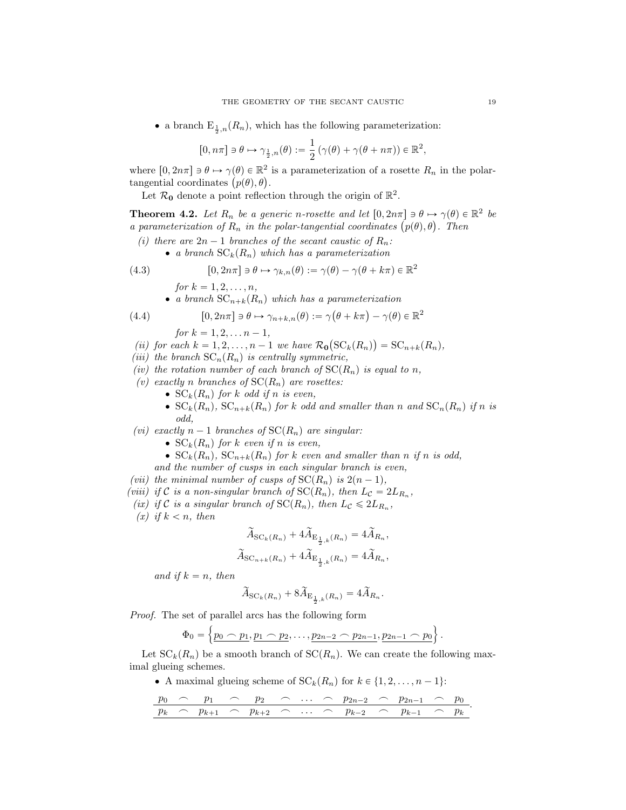• a branch  $E_{\frac{1}{2},n}(R_n)$ , which has the following parameterization:

$$
[0, n\pi] \ni \theta \mapsto \gamma_{\frac{1}{2},n}(\theta) := \frac{1}{2} \left( \gamma(\theta) + \gamma(\theta + n\pi) \right) \in \mathbb{R}^2,
$$

where  $[0, 2n\pi] \ni \theta \mapsto \gamma(\theta) \in \mathbb{R}^2$  is a parameterization of a rosette  $R_n$  in the polarwhere  $[0, 2n\pi] \ni \theta \mapsto \gamma(\theta) \in \mathbb{R}^2$ <br>tangential coordinates  $(p(\theta), \theta)$ .

Let  $\mathcal{R}_{0}$  denote a point reflection through the origin of  $\mathbb{R}^{2}$ .

<span id="page-18-2"></span>**Theorem 4.2.** Let  $R_n$  be a generic n-rosette and let  $[0, 2n\pi] \ni \theta \mapsto \gamma(\theta) \in \mathbb{R}^2$  be **Theorem 4.2.** Let  $R_n$  be a generic n-rosette and let  $[0, 2n\pi] \ni \theta \mapsto \gamma(\theta) \in$ <br>a parameterization of  $R_n$  in the polar-tangential coordinates  $(p(\theta), \theta)$ . Then

- (i) there are  $2n 1$  branches of the secant caustic of  $R_n$ :
	- a branch  $SC_k(R_n)$  which has a parameterization

<span id="page-18-0"></span>(4.3) 
$$
[0, 2n\pi] \ni \theta \mapsto \gamma_{k,n}(\theta) := \gamma(\theta) - \gamma(\theta + k\pi) \in \mathbb{R}^2
$$
  
for  $k = 1, 2, ..., n$ ,

<span id="page-18-1"></span>\n- a branch 
$$
SC_{n+k}(R_n)
$$
 which has a parameterization
\n- (4.4)  $[0, 2n\pi] \ni \theta \mapsto \gamma_{n+k,n}(\theta) := \gamma(\theta + k\pi) - \gamma(\theta) \in \mathbb{R}^2$
\n

for  $k = 1, 2, \ldots n - 1$ ,

(ii) for each 
$$
k = 1, 2, ..., n-1
$$
 we have  $\mathcal{R}_{0}(\mathrm{SC}_{k}(R_n)) = \mathrm{SC}_{n+k}(R_n)$ ,

- (iii) the branch  $SC_n(R_n)$  is centrally symmetric,
- (iv) the rotation number of each branch of  $SC(R_n)$  is equal to n,
- (v) exactly n branches of  $SC(R_n)$  are rosettes:
	- $SC_k(R_n)$  for k odd if n is even,
	- $SC_k(R_n)$ ,  $SC_{n+k}(R_n)$  for k odd and smaller than n and  $SC_n(R_n)$  if n is odd,
- (vi) exactly  $n-1$  branches of  $SC(R_n)$  are singular:
	- $SC_k(R_n)$  for k even if n is even,
	- $SC_k(R_n)$ ,  $SC_{n+k}(R_n)$  for k even and smaller than n if n is odd,
	- and the number of cusps in each singular branch is even,
- (vii) the minimal number of cusps of  $SC(R_n)$  is  $2(n 1)$ ,
- (viii) if C is a non-singular branch of  $SC(R_n)$ , then  $L_c = 2L_{R_n}$ ,
- (ix) if C is a singular branch of  $SC(R_n)$ , then  $L_c \leq 2L_{R_n}$ ,
- (x) if  $k < n$ , then

$$
\widetilde{A}_{\mathrm{SC}_k(R_n)} + 4\widetilde{A}_{\mathrm{E}_{\frac{1}{2},k}(R_n)} = 4\widetilde{A}_{R_n},
$$

$$
\widetilde{A}_{\mathrm{SC}_{n+k}(R_n)} + 4\widetilde{A}_{\mathrm{E}_{\frac{1}{2},k}(R_n)} = 4\widetilde{A}_{R_n},
$$

and if  $k = n$ , then

$$
\widetilde{A}_{\mathrm{SC}_k(R_n)} + 8\widetilde{A}_{\mathrm{E}_{\frac{1}{2},k}(R_n)} = 4\widetilde{A}_{R_n}.
$$

Proof. The set of parallel arcs has the following form

$$
\Phi_0 = \left\{ \underline{p_0 \frown p_1}, \underline{p_1 \frown p_2}, \ldots, \underline{p_{2n-2} \frown p_{2n-1}}, \underline{p_{2n-1} \frown p_0} \right\}.
$$

Let  $SC_k(R_n)$  be a smooth branch of  $SC(R_n)$ . We can create the following maximal glueing schemes.

A maximal glueing scheme of  $SC_k(R_n)$  for  $k \in \{1, 2, \ldots, n - 1\}$ :

$$
\frac{p_0}{p_k} \quad \frac{p_1}{p_{k+1}} \quad \frac{p_2}{p_{k+2}} \quad \frac{p_3}{p_{k+2}} \quad \frac{p_{2n-2}}{p_{k-2}} \quad \frac{p_{2n-1}}{p_{k-1}} \quad \frac{p_0}{p_{k}}.
$$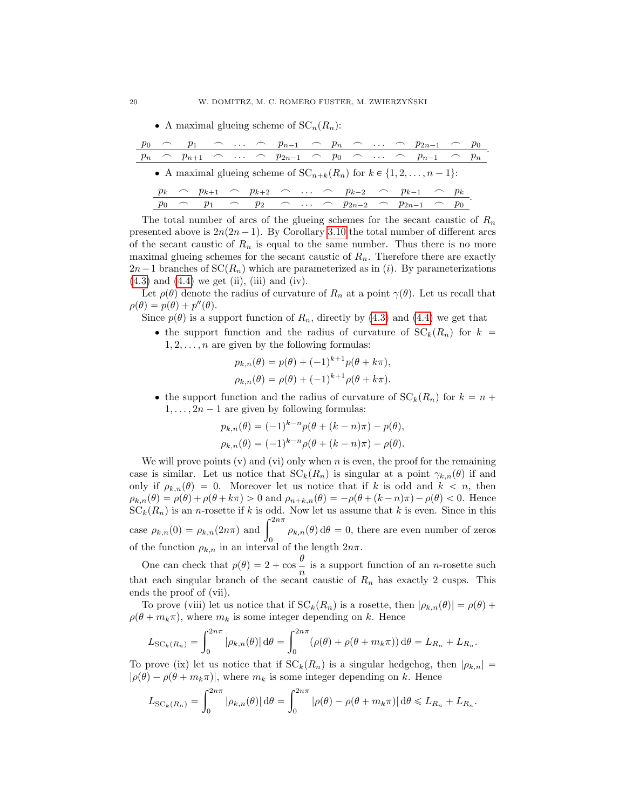• A maximal glueing scheme of  $SC_n(R_n)$ :

|                                                                             |  |  |  |  |  |  |  |  |  |  |  | $\cap$ $p_1$ $\cap$ $\ldots$ $\cap$ $p_{n-1}$ $\cap$ $p_n$ $\cap$ $\ldots$ $\cap$ $p_{2n-1}$ $\cap$ $p_0$     |  |  |
|-----------------------------------------------------------------------------|--|--|--|--|--|--|--|--|--|--|--|---------------------------------------------------------------------------------------------------------------|--|--|
|                                                                             |  |  |  |  |  |  |  |  |  |  |  | $\cap$ $p_{n+1}$ $\cap$ $\cdots$ $\cap$ $p_{2n-1}$ $\cap$ $p_0$ $\cap$ $\cdots$ $\cap$ $p_{n-1}$ $\cap$ $p_n$ |  |  |
| • A maximal glueing scheme of $SC_{n+k}(R_n)$ for $k \in \{1, 2, , n-1\}$ : |  |  |  |  |  |  |  |  |  |  |  |                                                                                                               |  |  |
|                                                                             |  |  |  |  |  |  |  |  |  |  |  | $p_k \sim p_{k+1} \sim p_{k+2} \sim \ldots \sim p_{k-2} \sim p_{k-1} \sim p_k$                                |  |  |
|                                                                             |  |  |  |  |  |  |  |  |  |  |  | $p_0 \sim p_1 \sim p_2 \sim \ldots \sim p_{2n-2} \sim p_{2n-1} \sim p_0$                                      |  |  |

The total number of arcs of the glueing schemes for the secant caustic of  $R_n$ presented above is  $2n(2n - 1)$ . By Corollary [3.10](#page-13-0) the total number of different arcs of the secant caustic of  $R_n$  is equal to the same number. Thus there is no more maximal glueing schemes for the secant caustic of  $R_n$ . Therefore there are exactly  $2n-1$  branches of  $SC(R_n)$  which are parameterized as in *(i)*. By parameterizations  $(4.3)$  and  $(4.4)$  we get  $(ii)$ ,  $(iii)$  and  $(iv)$ .

Let  $\rho(\theta)$  denote the radius of curvature of  $R_n$  at a point  $\gamma(\theta)$ . Let us recall that  $\rho(\theta) = p(\theta) + p''(\theta).$ 

Since  $p(\theta)$  is a support function of  $R_n$ , directly by [\(4.3\)](#page-18-0) and [\(4.4\)](#page-18-1) we get that

• the support function and the radius of curvature of  $SC_k(R_n)$  for  $k =$  $1, 2, \ldots, n$  are given by the following formulas:

$$
p_{k,n}(\theta) = p(\theta) + (-1)^{k+1} p(\theta + k\pi),
$$
  
\n
$$
\rho_{k,n}(\theta) = \rho(\theta) + (-1)^{k+1} \rho(\theta + k\pi).
$$

• the support function and the radius of curvature of  $SC_k(R_n)$  for  $k = n +$  $1, \ldots, 2n-1$  are given by following formulas:

$$
p_{k,n}(\theta) = (-1)^{k-n} p(\theta + (k - n)\pi) - p(\theta),
$$
  

$$
\rho_{k,n}(\theta) = (-1)^{k-n} \rho(\theta + (k - n)\pi) - \rho(\theta).
$$

We will prove points  $(v)$  and  $(vi)$  only when n is even, the proof for the remaining case is similar. Let us notice that  $SC_k(R_n)$  is singular at a point  $\gamma_{k,n}(\theta)$  if and only if  $\rho_{k,n}(\theta) = 0$ . Moreover let us notice that if k is odd and  $k < n$ , then  $\rho_{k,n}(\theta) = \rho(\theta) + \rho(\theta + k\pi) > 0$  and  $\rho_{n+k,n}(\theta) = -\rho(\theta + (k-n)\pi) - \rho(\theta) < 0$ . Hence  $SC_k(R_n)$  is an n-rosette if k is odd. Now let us assume that k is even. Since in this  $SC_k(R_n)$  is an *n*-rosette if *k* is odd. Now let us assume that *k* is even. Since in this case  $\rho_{k,n}(0) = \rho_{k,n}(2n\pi)$  and  $\int_0^{2n\pi} \rho_{k,n}(\theta) d\theta = 0$ , there are even number of zeros of the function  $\rho_{k,n}$  in an interval of the length  $2n\pi$ .

One can check that  $p(\theta) = 2 + \cos \frac{\theta}{n}$  $\frac{v}{n}$  is a support function of an *n*-rosette such that each singular branch of the secant caustic of  $R_n$  has exactly 2 cusps. This ends the proof of (vii).

To prove (viii) let us notice that if  $SC_k(R_n)$  is a rosette, then  $|\rho_{k,n}(\theta)| = \rho(\theta) +$  $\rho(\theta + m_k \pi)$ , where  $m_k$  is some integer depending on k. Hence

$$
L_{\mathrm{SC}_k(R_n)} = \int_0^{2n\pi} |\rho_{k,n}(\theta)| d\theta = \int_0^{2n\pi} (\rho(\theta) + \rho(\theta + m_k \pi)) d\theta = L_{R_n} + L_{R_n}.
$$

To prove (ix) let us notice that if  $SC_k(R_n)$  is a singular hedgehog, then  $|\rho_{k,n}| =$  $|\rho(\theta) - \rho(\theta + m_k \pi)|$ , where  $m_k$  is some integer depending on k. Hence

$$
L_{\mathrm{SC}_k(R_n)} = \int_0^{2n\pi} |\rho_{k,n}(\theta)| d\theta = \int_0^{2n\pi} |\rho(\theta) - \rho(\theta + m_k \pi)| d\theta \le L_{R_n} + L_{R_n}.
$$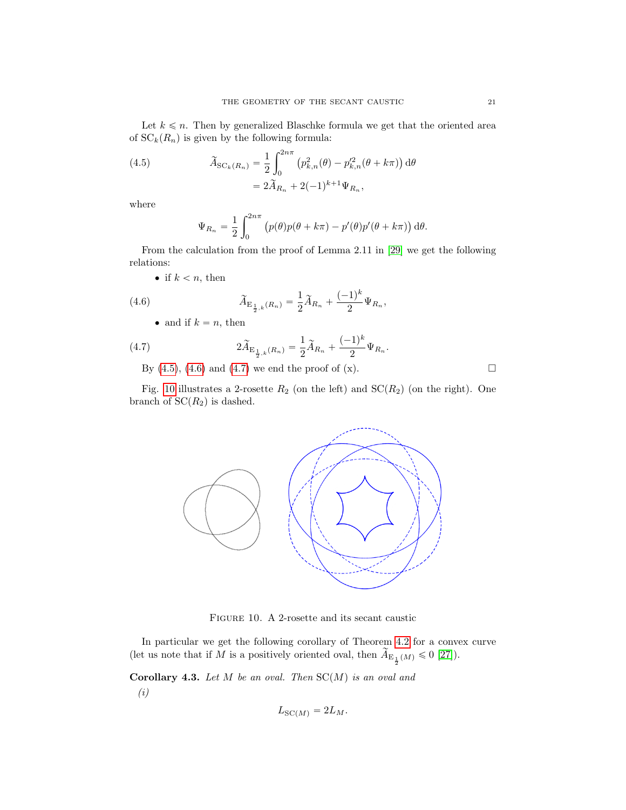Let  $k \leq n$ . Then by generalized Blaschke formula we get that the oriented area of  $SC_k(R_n)$  is given by the following formula:

<span id="page-20-0"></span>(4.5) 
$$
\widetilde{A}_{SC_k(R_n)} = \frac{1}{2} \int_0^{2n\pi} (p_{k,n}^2(\theta) - p_{k,n}^{\prime 2}(\theta + k\pi)) d\theta
$$

$$
= 2\widetilde{A}_{R_n} + 2(-1)^{k+1} \Psi_{R_n},
$$

where

$$
\Psi_{R_n} = \frac{1}{2} \int_0^{2n\pi} (p(\theta)p(\theta + k\pi) - p'(\theta)p'(\theta + k\pi)) d\theta.
$$

From the calculation from the proof of Lemma 2.11 in [\[29\]](#page-22-9) we get the following relations:

• if  $k < n$ , then

<span id="page-20-1"></span>(4.6) 
$$
\widetilde{A}_{\mathcal{E}_{\frac{1}{2},k}(R_n)} = \frac{1}{2}\widetilde{A}_{R_n} + \frac{(-1)^k}{2}\Psi_{R_n},
$$

• and if  $k = n$ , then

<span id="page-20-2"></span>(4.7) 
$$
2\widetilde{A}_{\mathcal{E}_{\frac{1}{2},k}(R_n)} = \frac{1}{2}\widetilde{A}_{R_n} + \frac{(-1)^k}{2}\Psi_{R_n}.
$$

By  $(4.5)$ ,  $(4.6)$  and  $(4.7)$  we end the proof of  $(x)$ .

Fig. [10](#page-20-3) illustrates a 2-rosette  $R_2$  (on the left) and  $SC(R_2)$  (on the right). One branch of  $SC(R_2)$  is dashed.

<span id="page-20-3"></span>

In particular we get the following corollary of Theorem [4.2](#page-18-2) for a convex curve (let us note that if M is a positively oriented oval, then  $\widetilde{A}_{\mathrm{E}_{\frac{1}{2}}(M)} \leq 0$  [\[27\]](#page-22-11)).

Corollary 4.3. Let  $M$  be an oval. Then  $SC(M)$  is an oval and (i)

$$
L_{\mathrm{SC}(M)} = 2L_M.
$$



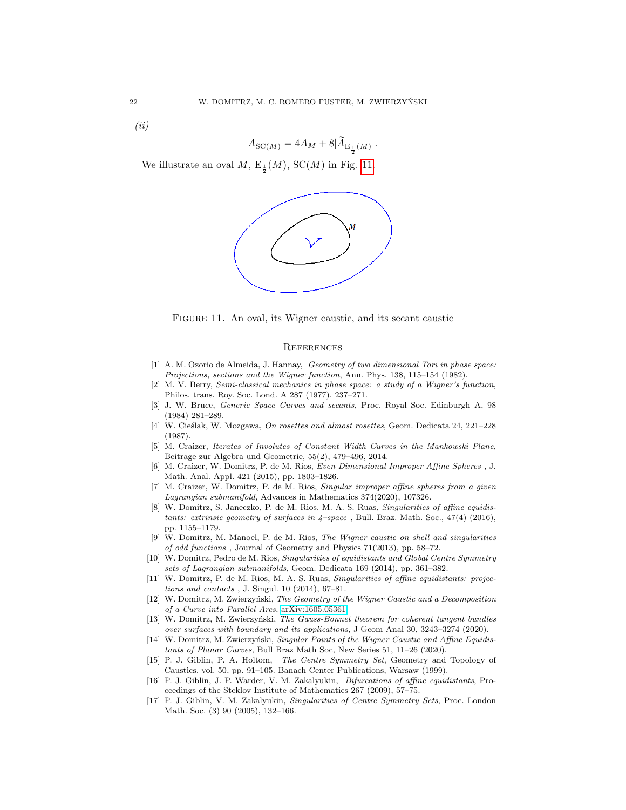(ii)

$$
A_{\mathrm{SC}(M)}=4A_M+8\big|\widetilde{A}_{\mathrm{E}_{\frac{1}{2}}(M)}\big|.
$$

We illustrate an oval  $M$ ,  $E_{\frac{1}{2}}(M)$ ,  $SC(M)$  in Fig. [11.](#page-21-17)





### <span id="page-21-17"></span>**REFERENCES**

- <span id="page-21-2"></span>[1] A. M. Ozorio de Almeida, J. Hannay, Geometry of two dimensional Tori in phase space: Projections, sections and the Wigner function, Ann. Phys. 138, 115–154 (1982).
- <span id="page-21-1"></span>[2] M. V. Berry, Semi-classical mechanics in phase space: a study of a Wigner's function, Philos. trans. Roy. Soc. Lond. A 287 (1977), 237–271.
- <span id="page-21-0"></span>[3] J. W. Bruce, Generic Space Curves and secants, Proc. Royal Soc. Edinburgh A, 98 (1984) 281–289.
- <span id="page-21-16"></span>[4] W. Cieślak, W. Mozgawa, On rosettes and almost rosettes, Geom. Dedicata 24, 221-228 (1987).
- <span id="page-21-3"></span>[5] M. Craizer, Iterates of Involutes of Constant Width Curves in the Mankowski Plane, Beitrage zur Algebra und Geometrie, 55(2), 479–496, 2014.
- <span id="page-21-4"></span>[6] M. Craizer, W. Domitrz, P. de M. Rios, Even Dimensional Improper Affine Spheres , J. Math. Anal. Appl. 421 (2015), pp. 1803–1826.
- <span id="page-21-5"></span>[7] M. Craizer, W. Domitrz, P. de M. Rios, Singular improper affine spheres from a given Lagrangian submanifold, Advances in Mathematics 374(2020), 107326.
- <span id="page-21-6"></span>[8] W. Domitrz, S. Janeczko, P. de M. Rios, M. A. S. Ruas, Singularities of affine equidistants: extrinsic geometry of surfaces in  $4$ -space, Bull. Braz. Math. Soc.,  $47(4)$  (2016), pp. 1155–1179.
- <span id="page-21-7"></span>[9] W. Domitrz, M. Manoel, P. de M. Rios, The Wigner caustic on shell and singularities of odd functions , Journal of Geometry and Physics 71(2013), pp. 58–72.
- <span id="page-21-8"></span>[10] W. Domitrz, Pedro de M. Rios, Singularities of equidistants and Global Centre Symmetry sets of Lagrangian submanifolds, Geom. Dedicata 169 (2014), pp. 361–382.
- <span id="page-21-9"></span>[11] W. Domitrz, P. de M. Rios, M. A. S. Ruas, Singularities of affine equidistants: projections and contacts , J. Singul. 10 (2014), 67–81.
- <span id="page-21-15"></span>[12] W. Domitrz, M. Zwierzyński, The Geometry of the Wigner Caustic and a Decomposition of a Curve into Parallel Arcs, [arXiv:1605.05361](http://arxiv.org/abs/1605.05361)
- <span id="page-21-10"></span>[13] W. Domitrz, M. Zwierzyński, The Gauss-Bonnet theorem for coherent tangent bundles over surfaces with boundary and its applications, J Geom Anal 30, 3243–3274 (2020).
- <span id="page-21-11"></span>[14] W. Domitrz, M. Zwierzyński, Singular Points of the Wigner Caustic and Affine Equidistants of Planar Curves, Bull Braz Math Soc, New Series 51, 11–26 (2020).
- <span id="page-21-12"></span>[15] P. J. Giblin, P. A. Holtom, The Centre Symmetry Set, Geometry and Topology of Caustics, vol. 50, pp. 91–105. Banach Center Publications, Warsaw (1999).
- <span id="page-21-13"></span>[16] P. J. Giblin, J. P. Warder, V. M. Zakalyukin, Bifurcations of affine equidistants, Proceedings of the Steklov Institute of Mathematics 267 (2009), 57–75.
- <span id="page-21-14"></span>[17] P. J. Giblin, V. M. Zakalyukin, Singularities of Centre Symmetry Sets, Proc. London Math. Soc. (3) 90 (2005), 132–166.